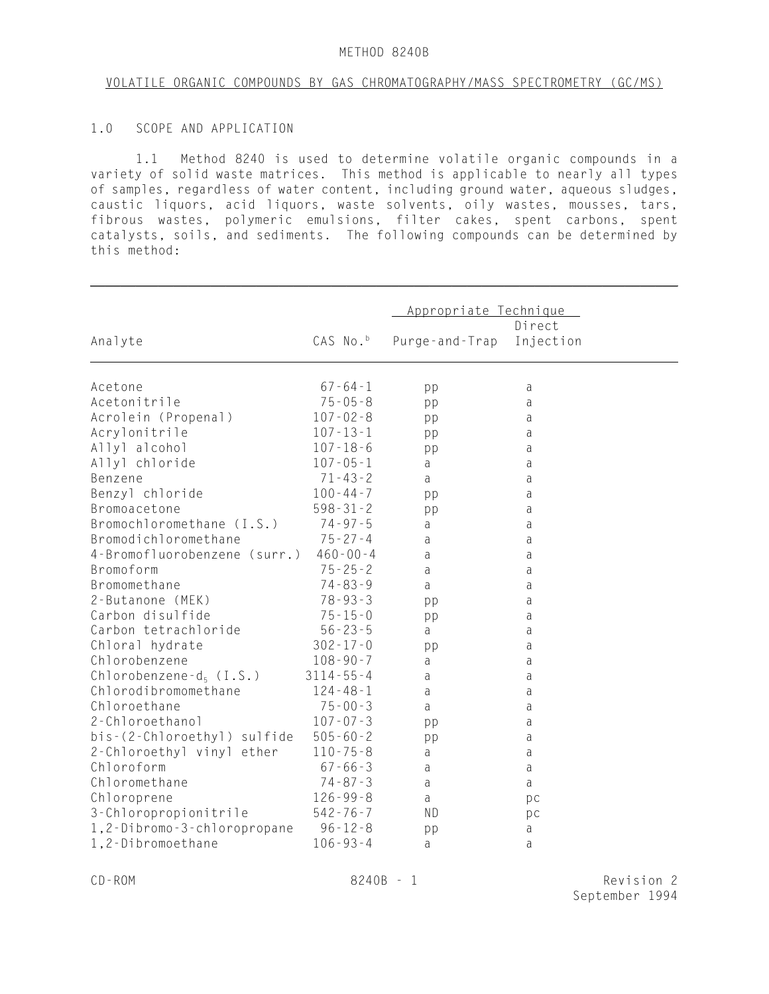#### METHOD 8240B

#### VOLATILE ORGANIC COMPOUNDS BY GAS CHROMATOGRAPHY/MASS SPECTROMETRY (GC/MS)

### 1.0 SCOPE AND APPLICATION

1.1 Method 8240 is used to determine volatile organic compounds in a variety of solid waste matrices. This method is applicable to nearly all types of samples, regardless of water content, including ground water, aqueous sludges, caustic liquors, acid liquors, waste solvents, oily wastes, mousses, tars, fibrous wastes, polymeric emulsions, filter cakes, spent carbons, spent catalysts, soils, and sediments. The following compounds can be determined by this method:

 $\mathcal{L}_\mathcal{L} = \mathcal{L}_\mathcal{L} = \mathcal{L}_\mathcal{L} = \mathcal{L}_\mathcal{L} = \mathcal{L}_\mathcal{L} = \mathcal{L}_\mathcal{L} = \mathcal{L}_\mathcal{L} = \mathcal{L}_\mathcal{L} = \mathcal{L}_\mathcal{L} = \mathcal{L}_\mathcal{L} = \mathcal{L}_\mathcal{L} = \mathcal{L}_\mathcal{L} = \mathcal{L}_\mathcal{L} = \mathcal{L}_\mathcal{L} = \mathcal{L}_\mathcal{L} = \mathcal{L}_\mathcal{L} = \mathcal{L}_\mathcal{L}$ 

|                              | Appropriate Technique |                |           |  |
|------------------------------|-----------------------|----------------|-----------|--|
|                              |                       |                | Direct    |  |
| Analyte                      | CAS No. <sup>b</sup>  | Purge-and-Trap | Injection |  |
|                              |                       |                |           |  |
| Acetone                      | $67 - 64 - 1$         | pp             | a         |  |
| Acetonitrile                 | $75 - 05 - 8$         | pp             | a         |  |
| Acrolein (Propenal)          | $107 - 02 - 8$        | pp             | a         |  |
| Acrylonitrile                | $107 - 13 - 1$        | pp             | a         |  |
| Allyl alcohol                | $107 - 18 - 6$        | pp             | a         |  |
| Allyl chloride               | $107 - 05 - 1$        | a              | a         |  |
| Benzene                      | $71 - 43 - 2$         | a              | a         |  |
| Benzyl chloride              | $100 - 44 - 7$        | pp             | a         |  |
| Bromoacetone                 | $598 - 31 - 2$        | pp             | a         |  |
| Bromochloromethane (I.S.)    | $74 - 97 - 5$         | a              | a         |  |
| Bromodichloromethane         | $75 - 27 - 4$         | a              | a         |  |
| 4-Bromofluorobenzene (surr.) | $460 - 00 - 4$        | a              | a         |  |
| Bromoform                    | $75 - 25 - 2$         | a              | a         |  |
| Bromomethane                 | $74 - 83 - 9$         | a              | a         |  |
| 2-Butanone (MEK)             | $78 - 93 - 3$         | pp             | a         |  |
| Carbon disulfide             | $75 - 15 - 0$         | pp             | a         |  |
| Carbon tetrachloride         | $56 - 23 - 5$         | a              | a         |  |
| Chloral hydrate              | $302 - 17 - 0$        | pp             | a         |  |
| Chlorobenzene                | $108 - 90 - 7$        | a              | a         |  |
| Chlorobenzene- $d_5$ (I.S.)  | $3114 - 55 - 4$       | a              | a         |  |
| Chlorodibromomethane         | $124 - 48 - 1$        | a              | a         |  |
| Chloroethane                 | $75 - 00 - 3$         | a              | a         |  |
| 2-Chloroethanol              | $107 - 07 - 3$        | pp             | a         |  |
| bis-(2-Chloroethyl) sulfide  | $505 - 60 - 2$        | pp             | a         |  |
| 2-Chloroethyl vinyl ether    | $110 - 75 - 8$        | a              | a         |  |
| Chloroform                   | $67 - 66 - 3$         | a              | a         |  |
| Chloromethane                | $74 - 87 - 3$         | a              | a         |  |
| Chloroprene                  | $126 - 99 - 8$        | a              | pc        |  |
| 3-Chloropropionitrile        | $542 - 76 - 7$        | <b>ND</b>      | pc        |  |
| 1,2-Dibromo-3-chloropropane  | $96 - 12 - 8$         | pp             | a         |  |
| 1,2-Dibromoethane            | $106 - 93 - 4$        | a              | a         |  |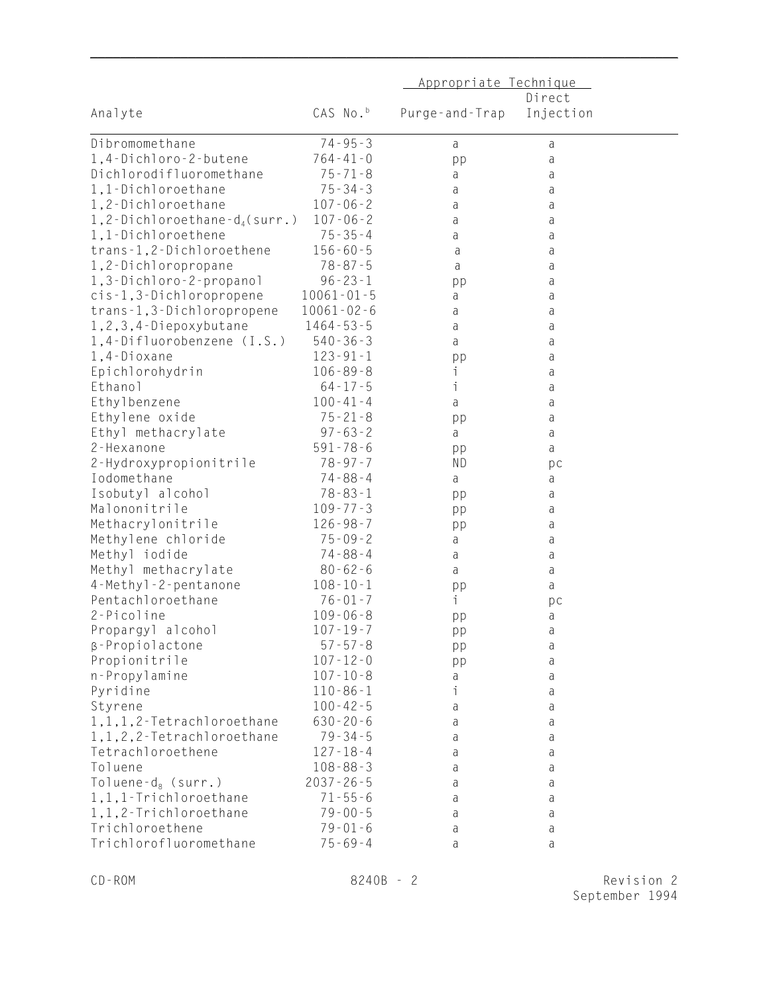|                                   |                      | Appropriate Technique |           |  |
|-----------------------------------|----------------------|-----------------------|-----------|--|
|                                   |                      |                       | Direct    |  |
| Analyte                           | CAS No. <sup>b</sup> | Purge-and-Trap        | Injection |  |
| Dibromomethane                    | $74 - 95 - 3$        | a                     | a         |  |
| 1,4-Dichloro-2-butene             | $764 - 41 - 0$       | pp                    | a         |  |
| Dichlorodifluoromethane           | $75 - 71 - 8$        | a                     | a         |  |
| 1,1-Dichloroethane                | $75 - 34 - 3$        | a                     | a         |  |
| 1,2-Dichloroethane                | $107 - 06 - 2$       | a                     | a         |  |
| 1,2-Dichloroethane- $d_4$ (surr.) | $107 - 06 - 2$       | a                     | a         |  |
| 1,1-Dichloroethene                | $75 - 35 - 4$        | a                     | a         |  |
| trans-1,2-Dichloroethene          | $156 - 60 - 5$       | a                     | a         |  |
| 1,2-Dichloropropane               | $78 - 87 - 5$        | a                     | a         |  |
| 1,3-Dichloro-2-propanol           | $96 - 23 - 1$        | pp                    | a         |  |
| cis-1,3-Dichloropropene           | $10061 - 01 - 5$     | a                     | a         |  |
| trans-1,3-Dichloropropene         | $10061 - 02 - 6$     | a                     | a         |  |
| 1, 2, 3, 4 - Diepoxybutane        | $1464 - 53 - 5$      | a                     | a         |  |
| 1,4-Difluorobenzene (I.S.)        | $540 - 36 - 3$       | a                     | a         |  |
| 1,4-Dioxane                       | $123 - 91 - 1$       | pp                    | a         |  |
| Epichlorohydrin                   | $106 - 89 - 8$       | i                     | a         |  |
| Ethanol                           | $64 - 17 - 5$        | i                     | a         |  |
| Ethylbenzene                      | $100 - 41 - 4$       | a                     | a         |  |
| Ethylene oxide                    | $75 - 21 - 8$        | pp                    | a         |  |
| Ethyl methacrylate                | $97 - 63 - 2$        | a                     | a         |  |
| 2-Hexanone                        | $591 - 78 - 6$       | pp                    | a         |  |
| 2-Hydroxypropionitrile            | $78 - 97 - 7$        | ND                    | pc        |  |
| Iodomethane                       | $74 - 88 - 4$        | a                     | a         |  |
| Isobutyl alcohol                  | $78 - 83 - 1$        | pp                    | a         |  |
| Malononitrile                     | $109 - 77 - 3$       | pp                    | a         |  |
| Methacrylonitrile                 | $126 - 98 - 7$       | pp                    | a         |  |
| Methylene chloride                | $75 - 09 - 2$        | a                     | a         |  |
| Methyl iodide                     | 74 - 88 - 4          | a                     | a         |  |
| Methyl methacrylate               | $80 - 62 - 6$        | a                     | a         |  |
| 4-Methyl-2-pentanone              | $108 - 10 - 1$       |                       | a         |  |
| Pentachloroethane                 | $76 - 01 - 7$        | pp<br>i.              |           |  |
| 2-Picoline                        | $109 - 06 - 8$       |                       | pc        |  |
| Propargyl alcohol                 | $107 - 19 - 7$       | pp                    | a         |  |
| $\beta$ -Propiolactone            | $57 - 57 - 8$        | pp                    | a         |  |
| Propionitrile                     | $107 - 12 - 0$       | pp                    | a         |  |
| n-Propylamine                     | $107 - 10 - 8$       | pp                    | a         |  |
|                                   | $110 - 86 - 1$       | a<br>i                | a         |  |
| Pyridine<br>Styrene               | $100 - 42 - 5$       |                       | a         |  |
|                                   | $630 - 20 - 6$       | а                     | a         |  |
| 1, 1, 1, 2-Tetrachloroethane      | $79 - 34 - 5$        | а                     | a         |  |
| 1, 1, 2, 2-Tetrachloroethane      |                      | а                     | a         |  |
| Tetrachloroethene                 | $127 - 18 - 4$       | а                     | a         |  |
| Toluene                           | $108 - 88 - 3$       | а                     | a         |  |
| Toluene- $d_8$ (surr.)            | $2037 - 26 - 5$      | а                     | a         |  |
| 1,1,1-Trichloroethane             | $71 - 55 - 6$        | а                     | a         |  |
| 1,1,2-Trichloroethane             | $79 - 00 - 5$        | а                     | a         |  |
| Trichloroethene                   | $79 - 01 - 6$        | a                     | a         |  |
| Trichlorofluoromethane            | $75 - 69 - 4$        | a                     | a         |  |

\_\_\_\_\_\_\_\_\_\_\_\_\_\_\_\_\_\_\_\_\_\_\_\_\_\_\_\_\_\_\_\_\_\_\_\_\_\_\_\_\_\_\_\_\_\_\_\_\_\_\_\_\_\_\_\_\_\_\_\_\_\_\_\_\_\_\_\_\_\_\_\_\_\_\_\_\_\_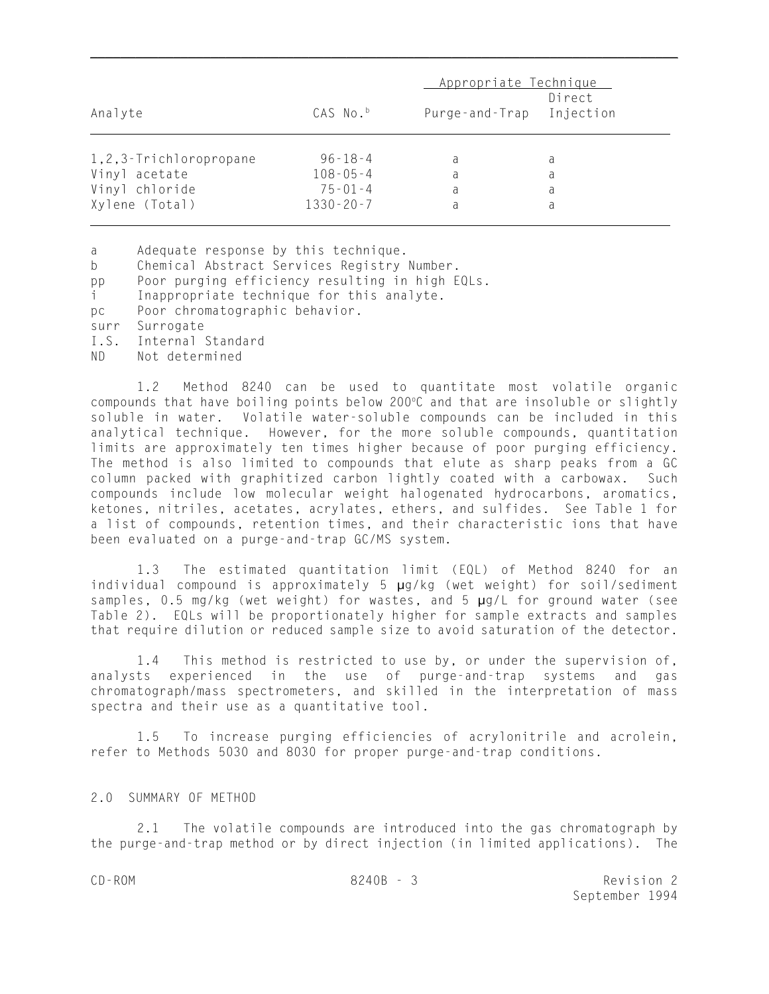|                        |                      | Appropriate Technique    |        |  |
|------------------------|----------------------|--------------------------|--------|--|
| Analyte                | CAS No. <sup>b</sup> | Purge-and-Trap Injection | Direct |  |
| 1,2,3-Trichloropropane | $96 - 18 - 4$        | a                        | a      |  |
| Vinyl acetate          | $108 - 05 - 4$       | a                        | a      |  |
| Vinyl chloride         | $75 - 01 - 4$        | a                        | a      |  |
| Xylene (Total)         | $1330 - 20 - 7$      | a                        | a      |  |

\_\_\_\_\_\_\_\_\_\_\_\_\_\_\_\_\_\_\_\_\_\_\_\_\_\_\_\_\_\_\_\_\_\_\_\_\_\_\_\_\_\_\_\_\_\_\_\_\_\_\_\_\_\_\_\_\_\_\_\_\_\_\_\_\_\_\_\_\_\_\_\_\_\_\_\_\_\_

a Adequate response by this technique.

b Chemical Abstract Services Registry Number.

pp Poor purging efficiency resulting in high EQLs.

i Inappropriate technique for this analyte.

pc Poor chromatographic behavior.

surr Surrogate

I.S. Internal Standard

ND Not determined

1.2 Method 8240 can be used to quantitate most volatile organic compounds that have boiling points below 200°C and that are insoluble or slightly soluble in water. Volatile water-soluble compounds can be included in this analytical technique. However, for the more soluble compounds, quantitation limits are approximately ten times higher because of poor purging efficiency. The method is also limited to compounds that elute as sharp peaks from a GC column packed with graphitized carbon lightly coated with a carbowax. Such compounds include low molecular weight halogenated hydrocarbons, aromatics, ketones, nitriles, acetates, acrylates, ethers, and sulfides. See Table 1 for a list of compounds, retention times, and their characteristic ions that have been evaluated on a purge-and-trap GC/MS system.

1.3 The estimated quantitation limit (EQL) of Method 8240 for an individual compound is approximately 5 µg/kg (wet weight) for soil/sediment samples, 0.5 mg/kg (wet weight) for wastes, and 5 µg/L for ground water (see Table 2). EQLs will be proportionately higher for sample extracts and samples that require dilution or reduced sample size to avoid saturation of the detector.

1.4 This method is restricted to use by, or under the supervision of, analysts experienced in the use of purge-and-trap systems and gas chromatograph/mass spectrometers, and skilled in the interpretation of mass spectra and their use as a quantitative tool.

1.5 To increase purging efficiencies of acrylonitrile and acrolein, refer to Methods 5030 and 8030 for proper purge-and-trap conditions.

#### 2.0 SUMMARY OF METHOD

2.1 The volatile compounds are introduced into the gas chromatograph by the purge-and-trap method or by direct injection (in limited applications). The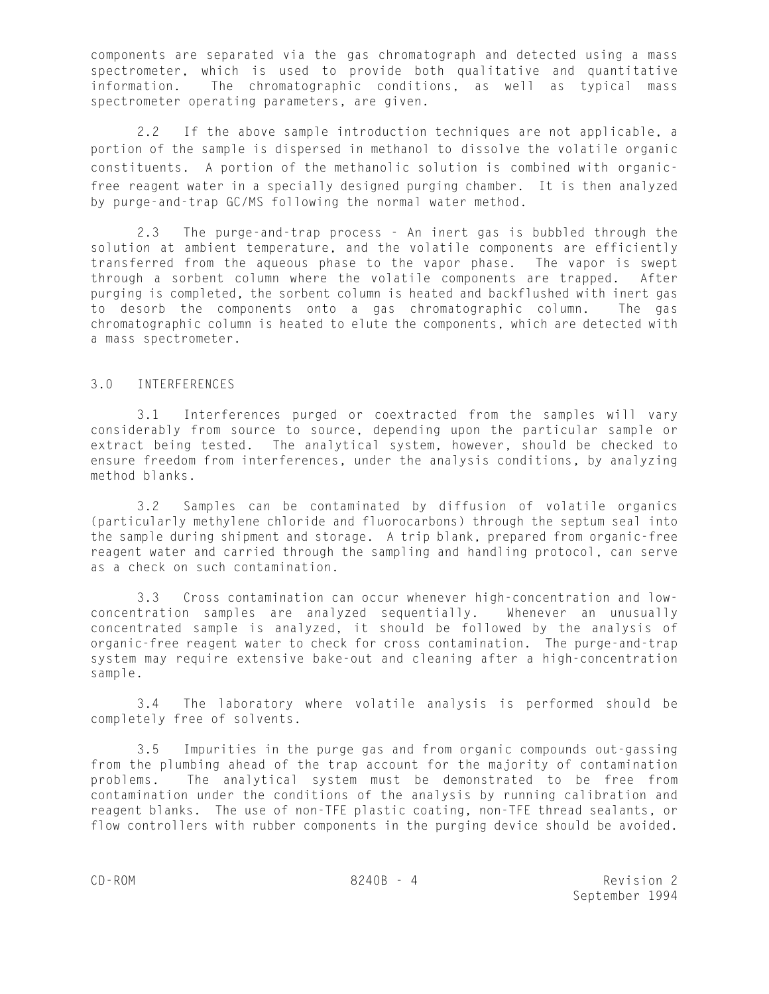components are separated via the gas chromatograph and detected using a mass spectrometer, which is used to provide both qualitative and quantitative information. The chromatographic conditions, as well as typical mass spectrometer operating parameters, are given.

2.2 If the above sample introduction techniques are not applicable, a portion of the sample is dispersed in methanol to dissolve the volatile organic constituents. A portion of the methanolic solution is combined with organicfree reagent water in a specially designed purging chamber. It is then analyzed by purge-and-trap GC/MS following the normal water method.

2.3 The purge-and-trap process - An inert gas is bubbled through the solution at ambient temperature, and the volatile components are efficiently transferred from the aqueous phase to the vapor phase. The vapor is swept through a sorbent column where the volatile components are trapped. After purging is completed, the sorbent column is heated and backflushed with inert gas to desorb the components onto a gas chromatographic column. The gas chromatographic column is heated to elute the components, which are detected with a mass spectrometer.

## 3.0 INTERFERENCES

3.1 Interferences purged or coextracted from the samples will vary considerably from source to source, depending upon the particular sample or extract being tested. The analytical system, however, should be checked to ensure freedom from interferences, under the analysis conditions, by analyzing method blanks.

3.2 Samples can be contaminated by diffusion of volatile organics (particularly methylene chloride and fluorocarbons) through the septum seal into the sample during shipment and storage. A trip blank, prepared from organic-free reagent water and carried through the sampling and handling protocol, can serve as a check on such contamination.

3.3 Cross contamination can occur whenever high-concentration and lowconcentration samples are analyzed sequentially. Whenever an unusually concentrated sample is analyzed, it should be followed by the analysis of organic-free reagent water to check for cross contamination. The purge-and-trap system may require extensive bake-out and cleaning after a high-concentration sample.

3.4 The laboratory where volatile analysis is performed should be completely free of solvents.

3.5 Impurities in the purge gas and from organic compounds out-gassing from the plumbing ahead of the trap account for the majority of contamination problems. The analytical system must be demonstrated to be free from contamination under the conditions of the analysis by running calibration and reagent blanks. The use of non-TFE plastic coating, non-TFE thread sealants, or flow controllers with rubber components in the purging device should be avoided.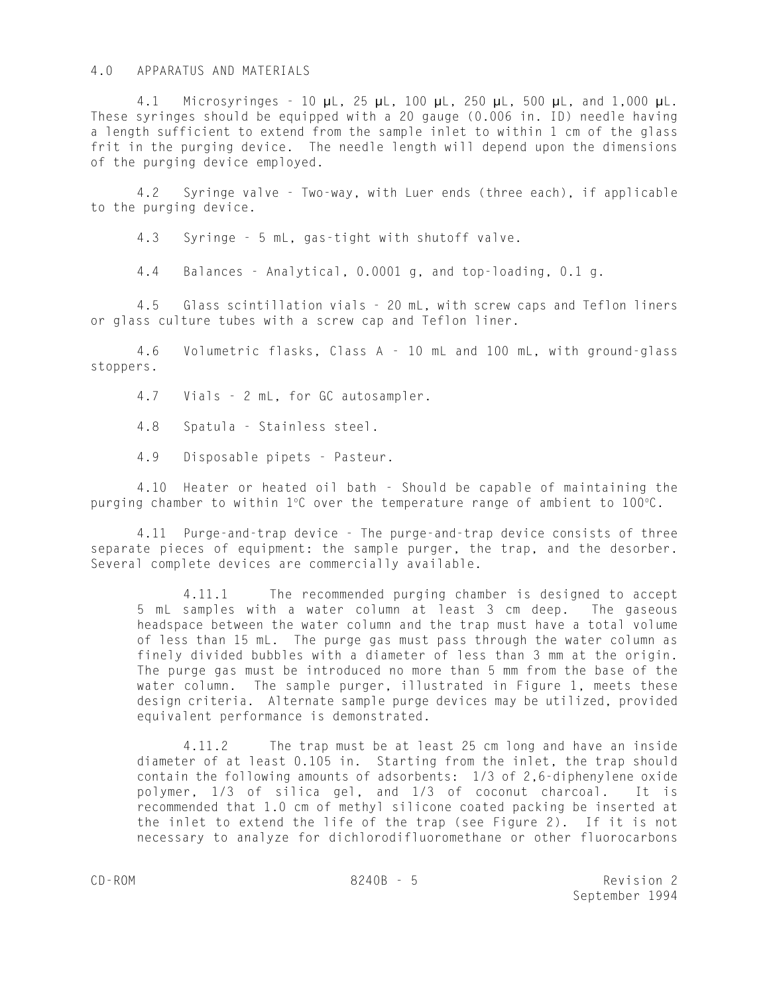#### 4.0 APPARATUS AND MATERIALS

4.1 Microsyringes - 10 µL, 25 µL, 100 µL, 250 µL, 500 µL, and 1,000 µL. These syringes should be equipped with a 20 gauge (0.006 in. ID) needle having a length sufficient to extend from the sample inlet to within 1 cm of the glass frit in the purging device. The needle length will depend upon the dimensions of the purging device employed.

4.2 Syringe valve - Two-way, with Luer ends (three each), if applicable to the purging device.

4.3 Syringe - 5 mL, gas-tight with shutoff valve.

4.4 Balances - Analytical, 0.0001 g, and top-loading, 0.1 g.

4.5 Glass scintillation vials - 20 mL, with screw caps and Teflon liners or glass culture tubes with a screw cap and Teflon liner.

4.6 Volumetric flasks, Class A - 10 mL and 100 mL, with ground-glass stoppers.

4.7 Vials - 2 mL, for GC autosampler.

4.8 Spatula - Stainless steel.

4.9 Disposable pipets - Pasteur.

4.10 Heater or heated oil bath - Should be capable of maintaining the purging chamber to within  $1^{\circ}$ C over the temperature range of ambient to  $100^{\circ}$ C.

4.11 Purge-and-trap device - The purge-and-trap device consists of three separate pieces of equipment: the sample purger, the trap, and the desorber. Several complete devices are commercially available.

4.11.1 The recommended purging chamber is designed to accept 5 mL samples with a water column at least 3 cm deep. The gaseous headspace between the water column and the trap must have a total volume of less than 15 mL. The purge gas must pass through the water column as finely divided bubbles with a diameter of less than 3 mm at the origin. The purge gas must be introduced no more than 5 mm from the base of the water column. The sample purger, illustrated in Figure 1, meets these design criteria. Alternate sample purge devices may be utilized, provided equivalent performance is demonstrated.

4.11.2 The trap must be at least 25 cm long and have an inside diameter of at least 0.105 in. Starting from the inlet, the trap should contain the following amounts of adsorbents: 1/3 of 2,6-diphenylene oxide polymer, 1/3 of silica gel, and 1/3 of coconut charcoal. It is recommended that 1.0 cm of methyl silicone coated packing be inserted at the inlet to extend the life of the trap (see Figure 2). If it is not necessary to analyze for dichlorodifluoromethane or other fluorocarbons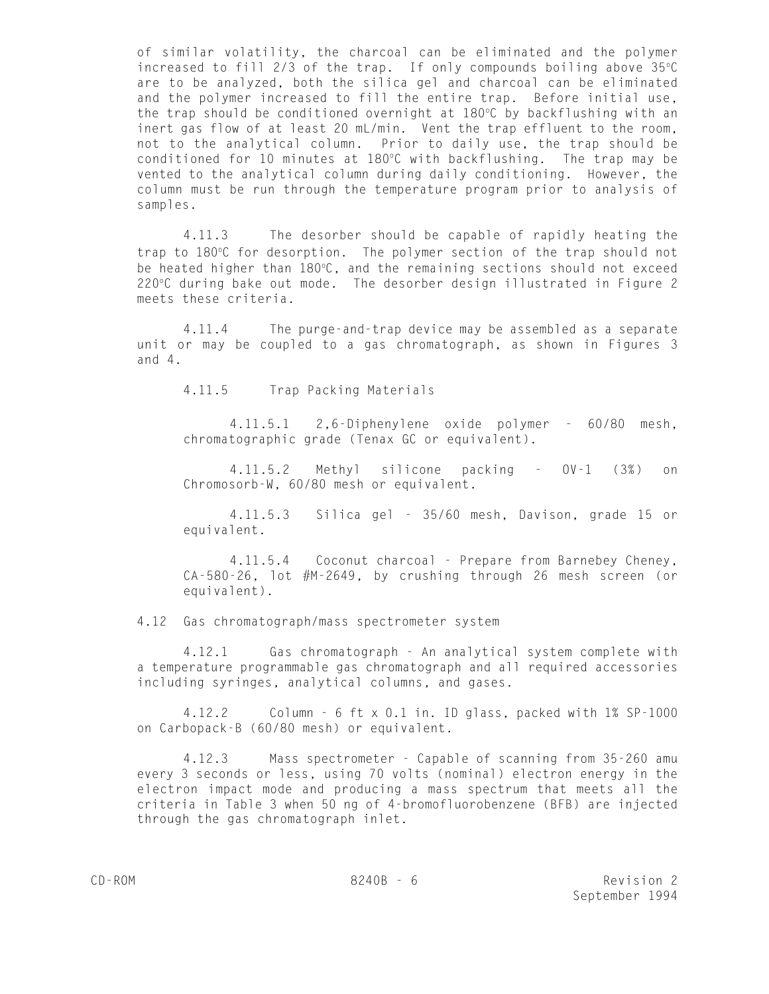of similar volatility, the charcoal can be eliminated and the polymer increased to fill 2/3 of the trap. If only compounds boiling above  $35^{\circ}$ C are to be analyzed, both the silica gel and charcoal can be eliminated and the polymer increased to fill the entire trap. Before initial use, the trap should be conditioned overnight at 180°C by backflushing with an inert gas flow of at least 20 mL/min. Vent the trap effluent to the room, not to the analytical column. Prior to daily use, the trap should be conditioned for 10 minutes at 180°C with backflushing. The trap may be vented to the analytical column during daily conditioning. However, the column must be run through the temperature program prior to analysis of samples.

4.11.3 The desorber should be capable of rapidly heating the trap to 180°C for desorption. The polymer section of the trap should not be heated higher than  $180^{\circ}$ C, and the remaining sections should not exceed 220°C during bake out mode. The desorber design illustrated in Figure 2 meets these criteria.

4.11.4 The purge-and-trap device may be assembled as a separate unit or may be coupled to a gas chromatograph, as shown in Figures 3 and 4.

4.11.5 Trap Packing Materials

4.11.5.1 2,6-Diphenylene oxide polymer - 60/80 mesh, chromatographic grade (Tenax GC or equivalent).

4.11.5.2 Methyl silicone packing - OV-1 (3%) on Chromosorb-W, 60/80 mesh or equivalent.

4.11.5.3 Silica gel - 35/60 mesh, Davison, grade 15 or equivalent.

4.11.5.4 Coconut charcoal - Prepare from Barnebey Cheney, CA-580-26, lot #M-2649, by crushing through 26 mesh screen (or equivalent).

4.12 Gas chromatograph/mass spectrometer system

4.12.1 Gas chromatograph - An analytical system complete with a temperature programmable gas chromatograph and all required accessories including syringes, analytical columns, and gases.

4.12.2 Column - 6 ft x 0.1 in. ID glass, packed with 1% SP-1000 on Carbopack-B (60/80 mesh) or equivalent.

4.12.3 Mass spectrometer - Capable of scanning from 35-260 amu every 3 seconds or less, using 70 volts (nominal) electron energy in the electron impact mode and producing a mass spectrum that meets all the criteria in Table 3 when 50 ng of 4-bromofluorobenzene (BFB) are injected through the gas chromatograph inlet.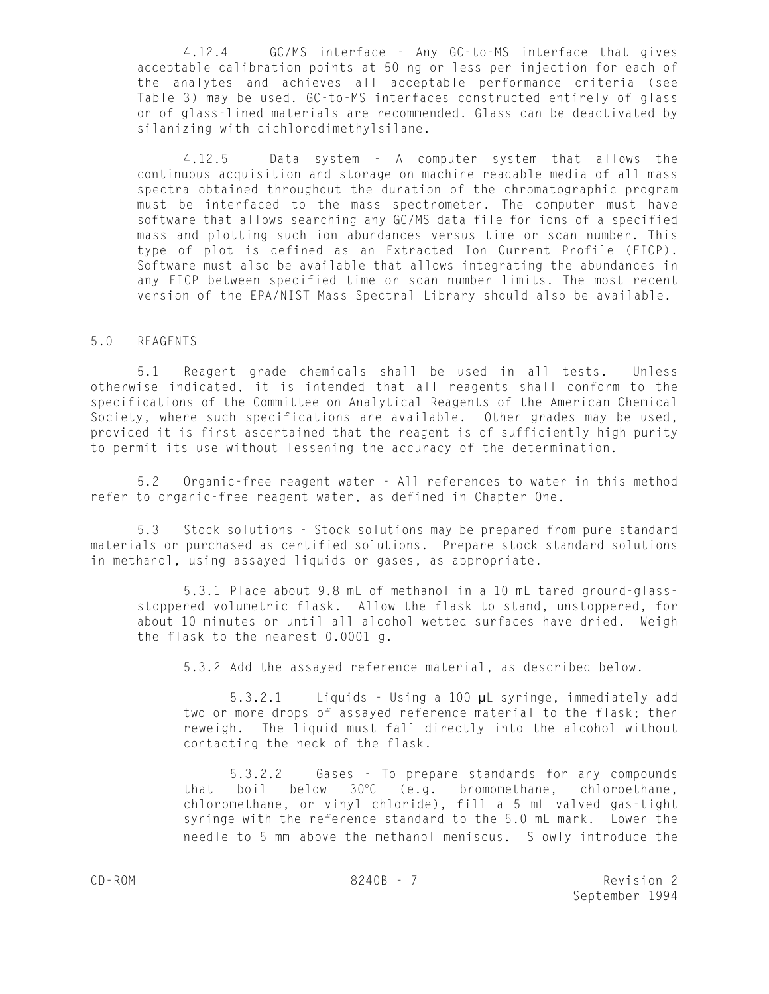4.12.4 GC/MS interface - Any GC-to-MS interface that gives acceptable calibration points at 50 ng or less per injection for each of the analytes and achieves all acceptable performance criteria (see Table 3) may be used. GC-to-MS interfaces constructed entirely of glass or of glass-lined materials are recommended. Glass can be deactivated by silanizing with dichlorodimethylsilane.

4.12.5 Data system - A computer system that allows the continuous acquisition and storage on machine readable media of all mass spectra obtained throughout the duration of the chromatographic program must be interfaced to the mass spectrometer. The computer must have software that allows searching any GC/MS data file for ions of a specified mass and plotting such ion abundances versus time or scan number. This type of plot is defined as an Extracted Ion Current Profile (EICP). Software must also be available that allows integrating the abundances in any EICP between specified time or scan number limits. The most recent version of the EPA/NIST Mass Spectral Library should also be available.

#### 5.0 REAGENTS

5.1 Reagent grade chemicals shall be used in all tests. Unless otherwise indicated, it is intended that all reagents shall conform to the specifications of the Committee on Analytical Reagents of the American Chemical Society, where such specifications are available. Other grades may be used, provided it is first ascertained that the reagent is of sufficiently high purity to permit its use without lessening the accuracy of the determination.

5.2 Organic-free reagent water - All references to water in this method refer to organic-free reagent water, as defined in Chapter One.

5.3 Stock solutions - Stock solutions may be prepared from pure standard materials or purchased as certified solutions. Prepare stock standard solutions in methanol, using assayed liquids or gases, as appropriate.

5.3.1 Place about 9.8 mL of methanol in a 10 mL tared ground-glassstoppered volumetric flask. Allow the flask to stand, unstoppered, for about 10 minutes or until all alcohol wetted surfaces have dried. Weigh the flask to the nearest 0.0001 g.

5.3.2 Add the assayed reference material, as described below.

5.3.2.1 Liquids - Using a 100 µL syringe, immediately add two or more drops of assayed reference material to the flask; then reweigh. The liquid must fall directly into the alcohol without contacting the neck of the flask.

5.3.2.2 Gases - To prepare standards for any compounds that boil below 30°C (e.g. bromomethane, chloroethane, chloromethane, or vinyl chloride), fill a 5 mL valved gas-tight syringe with the reference standard to the 5.0 mL mark. Lower the needle to 5 mm above the methanol meniscus. Slowly introduce the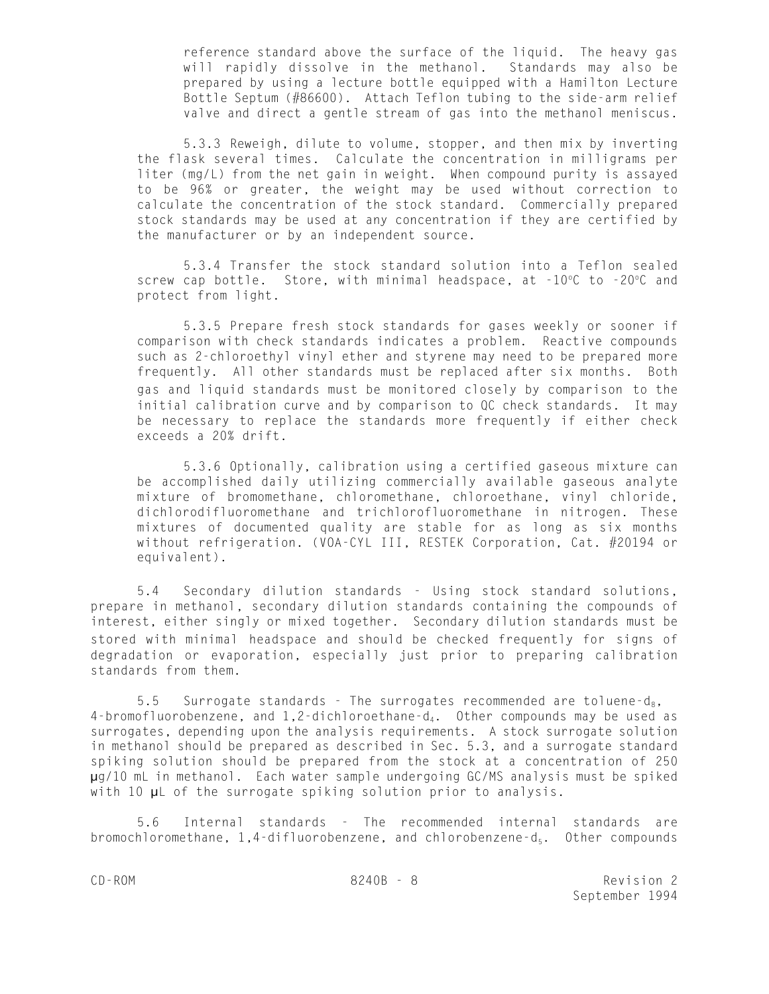reference standard above the surface of the liquid. The heavy gas will rapidly dissolve in the methanol. Standards may also be prepared by using a lecture bottle equipped with a Hamilton Lecture Bottle Septum (#86600). Attach Teflon tubing to the side-arm relief valve and direct a gentle stream of gas into the methanol meniscus.

5.3.3 Reweigh, dilute to volume, stopper, and then mix by inverting the flask several times. Calculate the concentration in milligrams per liter (mg/L) from the net gain in weight. When compound purity is assayed to be 96% or greater, the weight may be used without correction to calculate the concentration of the stock standard. Commercially prepared stock standards may be used at any concentration if they are certified by the manufacturer or by an independent source.

5.3.4 Transfer the stock standard solution into a Teflon sealed screw cap bottle. Store, with minimal headspace, at -10°C to -20°C and protect from light.

5.3.5 Prepare fresh stock standards for gases weekly or sooner if comparison with check standards indicates a problem. Reactive compounds such as 2-chloroethyl vinyl ether and styrene may need to be prepared more frequently. All other standards must be replaced after six months. Both gas and liquid standards must be monitored closely by comparison to the initial calibration curve and by comparison to QC check standards. It may be necessary to replace the standards more frequently if either check exceeds a 20% drift.

5.3.6 Optionally, calibration using a certified gaseous mixture can be accomplished daily utilizing commercially available gaseous analyte mixture of bromomethane, chloromethane, chloroethane, vinyl chloride, dichlorodifluoromethane and trichlorofluoromethane in nitrogen. These mixtures of documented quality are stable for as long as six months without refrigeration. (VOA-CYL III, RESTEK Corporation, Cat. #20194 or equivalent).

5.4 Secondary dilution standards - Using stock standard solutions, prepare in methanol, secondary dilution standards containing the compounds of interest, either singly or mixed together. Secondary dilution standards must be stored with minimal headspace and should be checked frequently for signs of degradation or evaporation, especially just prior to preparing calibration standards from them.

 $5.5$  Surrogate standards - The surrogates recommended are toluene- $d_a$ ,  $4$ -bromofluorobenzene, and  $1,2$ -dichloroethane-d<sub>4</sub>. Other compounds may be used as surrogates, depending upon the analysis requirements. A stock surrogate solution in methanol should be prepared as described in Sec. 5.3, and a surrogate standard spiking solution should be prepared from the stock at a concentration of 250 µg/10 mL in methanol. Each water sample undergoing GC/MS analysis must be spiked with 10  $\mu$ L of the surrogate spiking solution prior to analysis.

5.6 Internal standards - The recommended internal standards are bromochloromethane, 1,4-difluorobenzene, and chlorobenzene- $d_5$ . Other compounds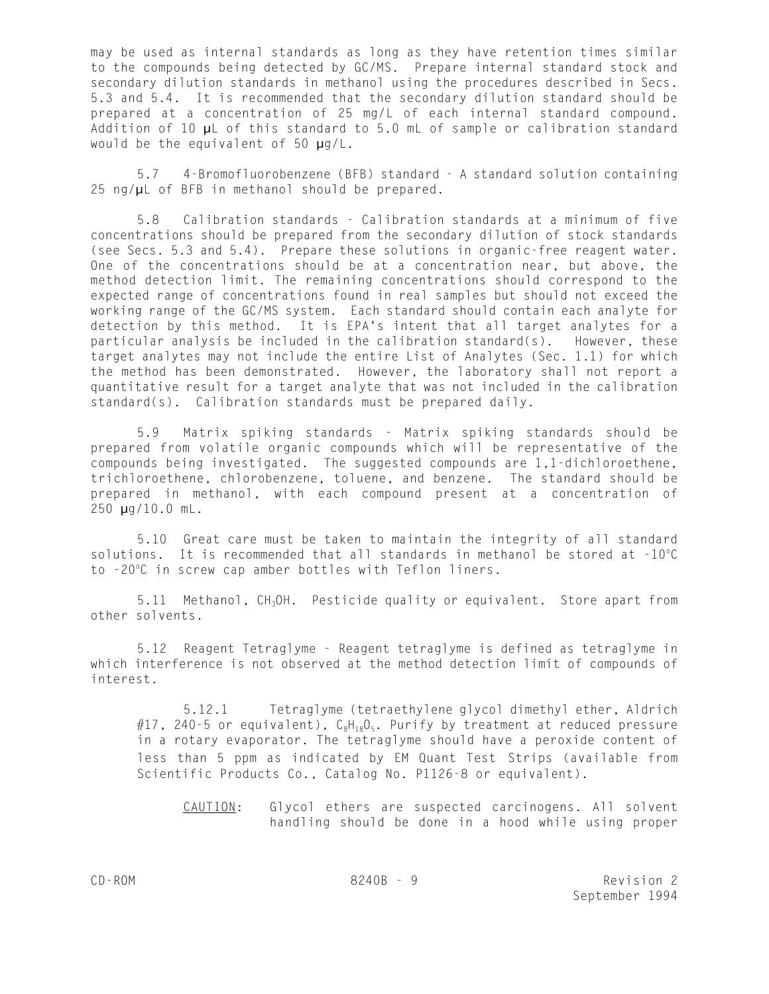may be used as internal standards as long as they have retention times similar to the compounds being detected by GC/MS. Prepare internal standard stock and secondary dilution standards in methanol using the procedures described in Secs. 5.3 and 5.4. It is recommended that the secondary dilution standard should be prepared at a concentration of 25 mg/L of each internal standard compound. Addition of 10 µL of this standard to 5.0 mL of sample or calibration standard would be the equivalent of 50 µg/L.

5.7 4-Bromofluorobenzene (BFB) standard - A standard solution containing 25 ng/µL of BFB in methanol should be prepared.

5.8 Calibration standards - Calibration standards at a minimum of five concentrations should be prepared from the secondary dilution of stock standards (see Secs. 5.3 and 5.4). Prepare these solutions in organic-free reagent water. One of the concentrations should be at a concentration near, but above, the method detection limit. The remaining concentrations should correspond to the expected range of concentrations found in real samples but should not exceed the working range of the GC/MS system. Each standard should contain each analyte for detection by this method. It is EPA's intent that all target analytes for a particular analysis be included in the calibration standard(s). However, these target analytes may not include the entire List of Analytes (Sec. 1.1) for which the method has been demonstrated. However, the laboratory shall not report a quantitative result for a target analyte that was not included in the calibration standard(s). Calibration standards must be prepared daily.

5.9 Matrix spiking standards - Matrix spiking standards should be prepared from volatile organic compounds which will be representative of the compounds being investigated. The suggested compounds are 1,1-dichloroethene, trichloroethene, chlorobenzene, toluene, and benzene. The standard should be prepared in methanol, with each compound present at a concentration of 250 µg/10.0 mL.

5.10 Great care must be taken to maintain the integrity of all standard solutions. It is recommended that all standards in methanol be stored at -10°C to -20°C in screw cap amber bottles with Teflon liners.

5.11 Methanol, CH<sub>3</sub>OH. Pesticide quality or equivalent. Store apart from other solvents.

5.12 Reagent Tetraglyme - Reagent tetraglyme is defined as tetraglyme in which interference is not observed at the method detection limit of compounds of interest.

5.12.1 Tetraglyme (tetraethylene glycol dimethyl ether, Aldrich #17, 240-5 or equivalent),  $C_8H_{18}O_5$ . Purify by treatment at reduced pressure in a rotary evaporator. The tetraglyme should have a peroxide content of less than 5 ppm as indicated by EM Quant Test Strips (available from Scientific Products Co., Catalog No. P1126-8 or equivalent).

CAUTION: Glycol ethers are suspected carcinogens. All solvent handling should be done in a hood while using proper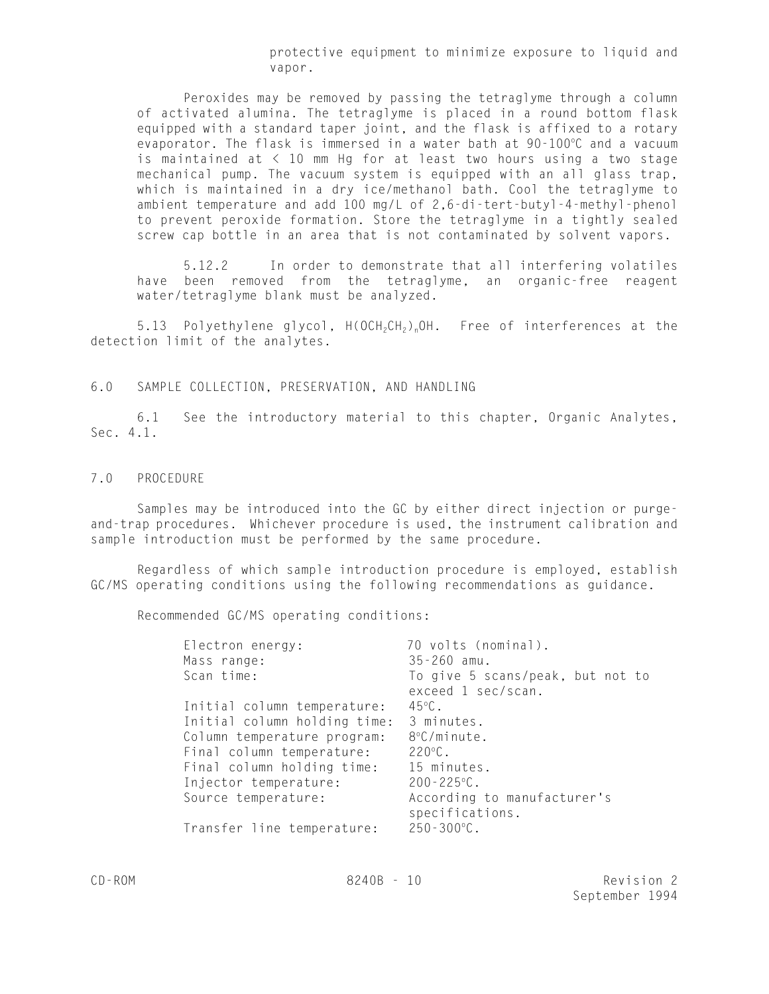protective equipment to minimize exposure to liquid and vapor.

Peroxides may be removed by passing the tetraglyme through a column of activated alumina. The tetraglyme is placed in a round bottom flask equipped with a standard taper joint, and the flask is affixed to a rotary evaporator. The flask is immersed in a water bath at 90-100°C and a vacuum is maintained at < 10 mm Hg for at least two hours using a two stage mechanical pump. The vacuum system is equipped with an all glass trap, which is maintained in a dry ice/methanol bath. Cool the tetraglyme to ambient temperature and add 100 mg/L of 2,6-di-tert-butyl-4-methyl-phenol to prevent peroxide formation. Store the tetraglyme in a tightly sealed screw cap bottle in an area that is not contaminated by solvent vapors.

5.12.2 In order to demonstrate that all interfering volatiles have been removed from the tetraglyme, an organic-free reagent water/tetraglyme blank must be analyzed.

5.13 Polyethylene glycol, H(OCH<sub>2</sub>CH<sub>2</sub>)<sub>n</sub>OH. Free of interferences at the detection limit of the analytes.

### 6.0 SAMPLE COLLECTION, PRESERVATION, AND HANDLING

6.1 See the introductory material to this chapter, Organic Analytes, Sec. 4.1.

#### 7.0 PROCEDURE

Samples may be introduced into the GC by either direct injection or purgeand-trap procedures. Whichever procedure is used, the instrument calibration and sample introduction must be performed by the same procedure.

Regardless of which sample introduction procedure is employed, establish GC/MS operating conditions using the following recommendations as guidance.

Recommended GC/MS operating conditions:

| Electron energy:             | 70 volts (nominal).              |
|------------------------------|----------------------------------|
| Mass range:                  | $35 - 260$ amu.                  |
| Scan time:                   | To give 5 scans/peak, but not to |
|                              | exceed 1 sec/scan.               |
| Initial column temperature:  | $45^{\circ}$ C.                  |
| Initial column holding time: | 3 minutes.                       |
| Column temperature program:  | $8^{\circ}$ C/minute.            |
| Final column temperature:    | $220^{\circ}$ C.                 |
| Final column holding time:   | 15 minutes.                      |
| Injector temperature:        | $200 - 225^{\circ}$ C.           |
| Source temperature:          | According to manufacturer's      |
|                              | specifications.                  |
| Transfer line temperature:   | $250 - 300^{\circ}$ C.           |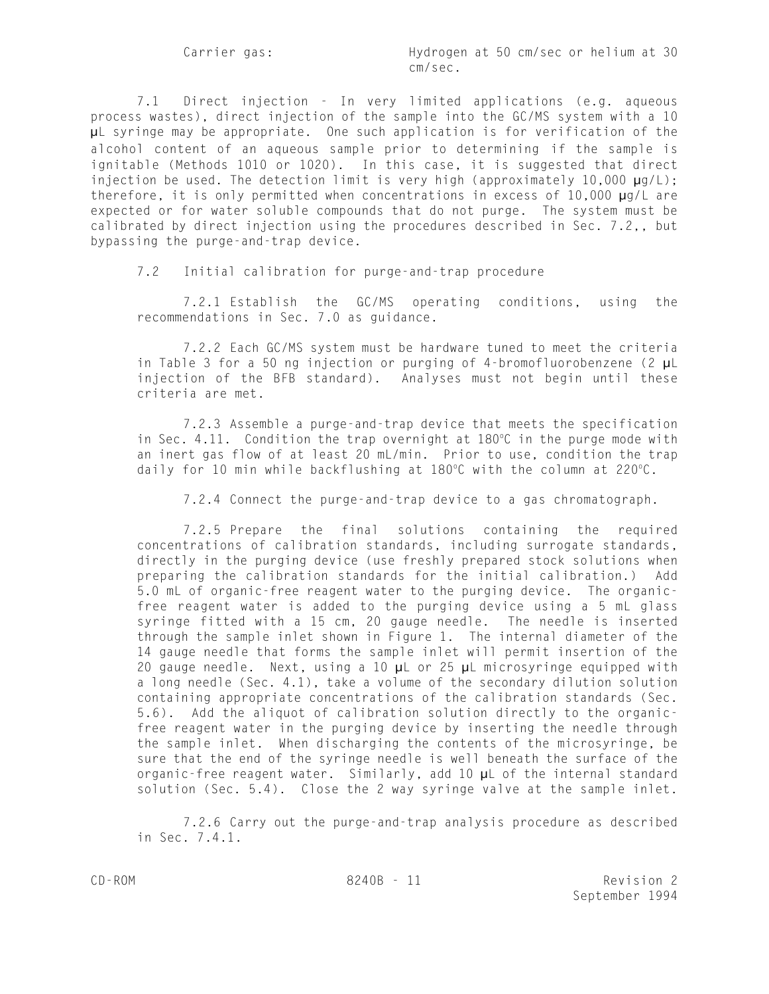7.1 Direct injection - In very limited applications (e.g. aqueous process wastes), direct injection of the sample into the GC/MS system with a 10 µL syringe may be appropriate. One such application is for verification of the alcohol content of an aqueous sample prior to determining if the sample is ignitable (Methods 1010 or 1020). In this case, it is suggested that direct injection be used. The detection limit is very high (approximately 10,000 µg/L); therefore, it is only permitted when concentrations in excess of  $10,000$   $\mu q/L$  are expected or for water soluble compounds that do not purge. The system must be calibrated by direct injection using the procedures described in Sec. 7.2,, but bypassing the purge-and-trap device.

7.2 Initial calibration for purge-and-trap procedure

7.2.1 Establish the GC/MS operating conditions, using the recommendations in Sec. 7.0 as guidance.

7.2.2 Each GC/MS system must be hardware tuned to meet the criteria in Table 3 for a 50 ng injection or purging of 4-bromofluorobenzene (2 µL injection of the BFB standard). Analyses must not begin until these criteria are met.

7.2.3 Assemble a purge-and-trap device that meets the specification in Sec.  $4.11$ . Condition the trap overnight at  $180^{\circ}$ C in the purge mode with an inert gas flow of at least 20 mL/min. Prior to use, condition the trap daily for 10 min while backflushing at 180°C with the column at 220°C.

7.2.4 Connect the purge-and-trap device to a gas chromatograph.

7.2.5 Prepare the final solutions containing the required concentrations of calibration standards, including surrogate standards, directly in the purging device (use freshly prepared stock solutions when preparing the calibration standards for the initial calibration.) Add 5.0 mL of organic-free reagent water to the purging device. The organicfree reagent water is added to the purging device using a 5 mL glass syringe fitted with a 15 cm, 20 gauge needle. The needle is inserted through the sample inlet shown in Figure 1. The internal diameter of the 14 gauge needle that forms the sample inlet will permit insertion of the 20 gauge needle. Next, using a 10 µL or 25 µL microsyringe equipped with a long needle (Sec. 4.1), take a volume of the secondary dilution solution containing appropriate concentrations of the calibration standards (Sec. 5.6). Add the aliquot of calibration solution directly to the organicfree reagent water in the purging device by inserting the needle through the sample inlet. When discharging the contents of the microsyringe, be sure that the end of the syringe needle is well beneath the surface of the organic-free reagent water. Similarly, add 10 µL of the internal standard solution (Sec. 5.4). Close the 2 way syringe valve at the sample inlet.

7.2.6 Carry out the purge-and-trap analysis procedure as described in Sec. 7.4.1.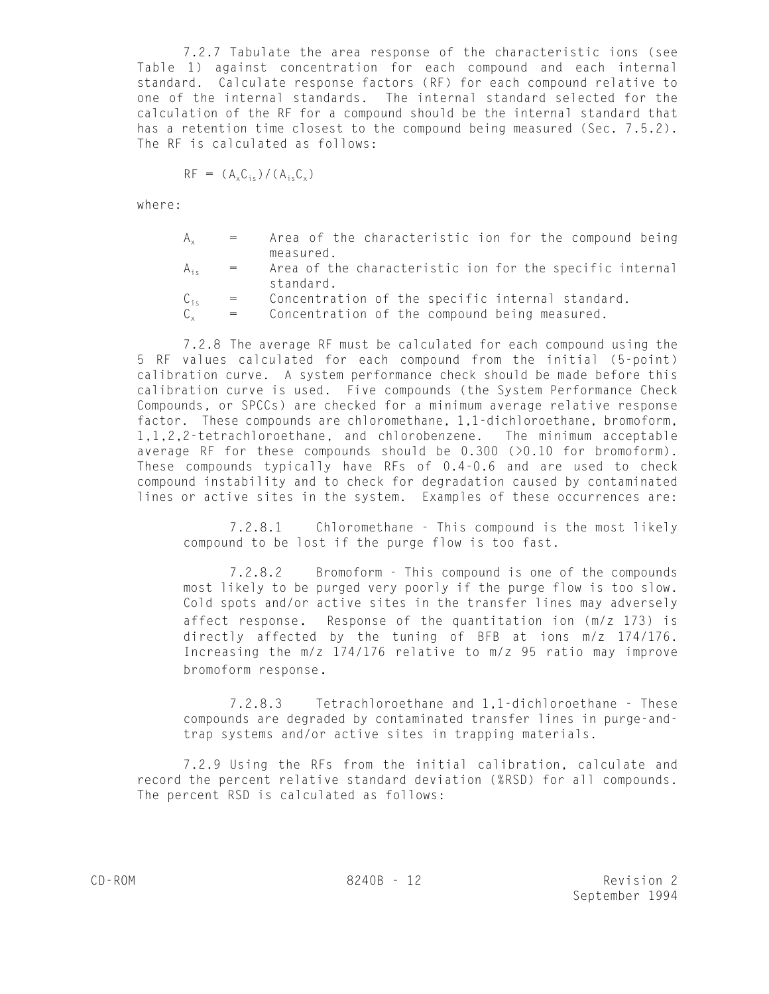7.2.7 Tabulate the area response of the characteristic ions (see Table 1) against concentration for each compound and each internal standard. Calculate response factors (RF) for each compound relative to one of the internal standards. The internal standard selected for the calculation of the RF for a compound should be the internal standard that has a retention time closest to the compound being measured (Sec. 7.5.2). The RF is calculated as follows:

$$
RF = (A_x C_{is}) / (A_{is} C_x)
$$

where:

- $A_x$  = Area of the characteristic ion for the compound being measured.
- $A_{is}$  = Area of the characteristic ion for the specific internal standard.
- $C_{is}$  = Concentration of the specific internal standard.<br> $C_{s}$  = Concentration of the compound being measured.
	- = Concentration of the compound being measured.

7.2.8 The average RF must be calculated for each compound using the 5 RF values calculated for each compound from the initial (5-point) calibration curve. A system performance check should be made before this calibration curve is used. Five compounds (the System Performance Check Compounds, or SPCCs) are checked for a minimum average relative response factor. These compounds are chloromethane, 1,1-dichloroethane, bromoform, 1,1,2,2-tetrachloroethane, and chlorobenzene. The minimum acceptable average RF for these compounds should be 0.300 (>0.10 for bromoform). These compounds typically have RFs of 0.4-0.6 and are used to check compound instability and to check for degradation caused by contaminated lines or active sites in the system. Examples of these occurrences are:

7.2.8.1 Chloromethane - This compound is the most likely compound to be lost if the purge flow is too fast.

7.2.8.2 Bromoform - This compound is one of the compounds most likely to be purged very poorly if the purge flow is too slow. Cold spots and/or active sites in the transfer lines may adversely affect response. Response of the quantitation ion (m/z 173) is directly affected by the tuning of BFB at ions m/z 174/176. Increasing the m/z 174/176 relative to m/z 95 ratio may improve bromoform response.

7.2.8.3 Tetrachloroethane and 1,1-dichloroethane - These compounds are degraded by contaminated transfer lines in purge-andtrap systems and/or active sites in trapping materials.

7.2.9 Using the RFs from the initial calibration, calculate and record the percent relative standard deviation (%RSD) for all compounds. The percent RSD is calculated as follows: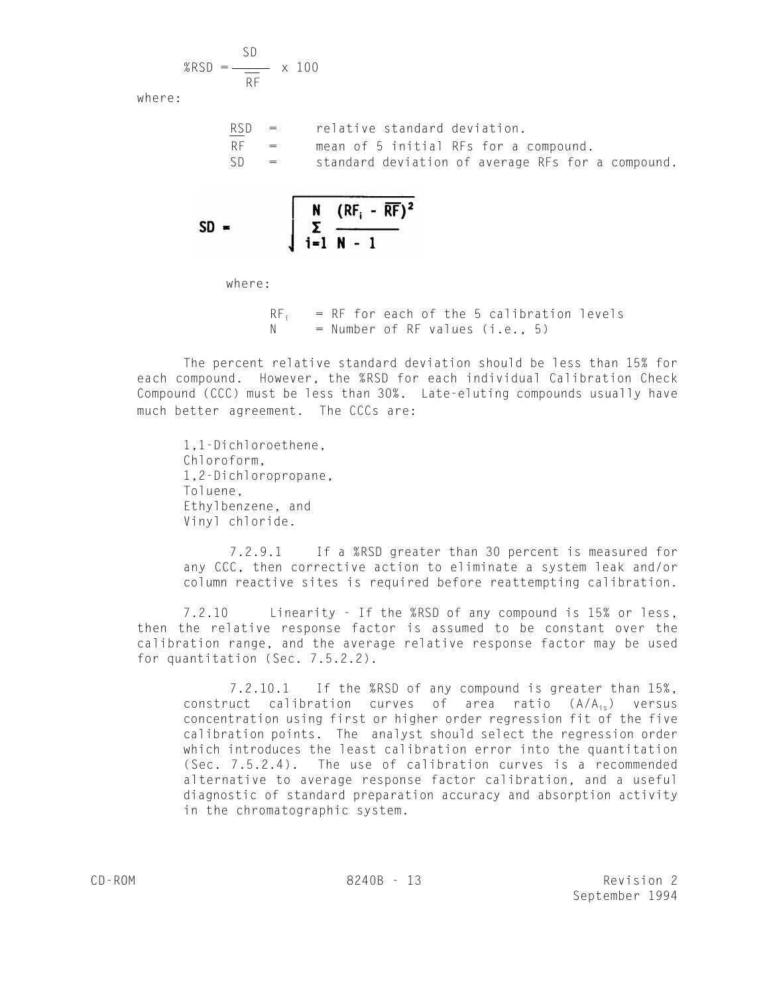$$
\%RSD = \frac{SD}{\overline{RF}} \times 100
$$

where:

RSD = relative standard deviation. RF = mean of 5 initial RFs for a compound. \_\_ SD = standard deviation of average RFs for a compound.

$$
SD = \qquad \qquad \sqrt{\frac{N}{i=1} \frac{(RF_i - \overline{RF})^2}{N-1}}
$$

where:

 $RF_i$  = RF for each of the 5 calibration levels  $N =$  Number of RF values (i.e., 5)

The percent relative standard deviation should be less than 15% for each compound. However, the %RSD for each individual Calibration Check Compound (CCC) must be less than 30%. Late-eluting compounds usually have much better agreement. The CCCs are:

1,1-Dichloroethene, Chloroform, 1,2-Dichloropropane, Toluene, Ethylbenzene, and Vinyl chloride.

7.2.9.1 If a %RSD greater than 30 percent is measured for any CCC, then corrective action to eliminate a system leak and/or column reactive sites is required before reattempting calibration.

7.2.10 Linearity - If the %RSD of any compound is 15% or less, then the relative response factor is assumed to be constant over the calibration range, and the average relative response factor may be used for quantitation (Sec. 7.5.2.2).

7.2.10.1 If the %RSD of any compound is greater than 15%, construct calibration curves of area ratio  $(A/A_{iS})$  versus concentration using first or higher order regression fit of the five calibration points. The analyst should select the regression order which introduces the least calibration error into the quantitation (Sec. 7.5.2.4). The use of calibration curves is a recommended alternative to average response factor calibration, and a useful diagnostic of standard preparation accuracy and absorption activity in the chromatographic system.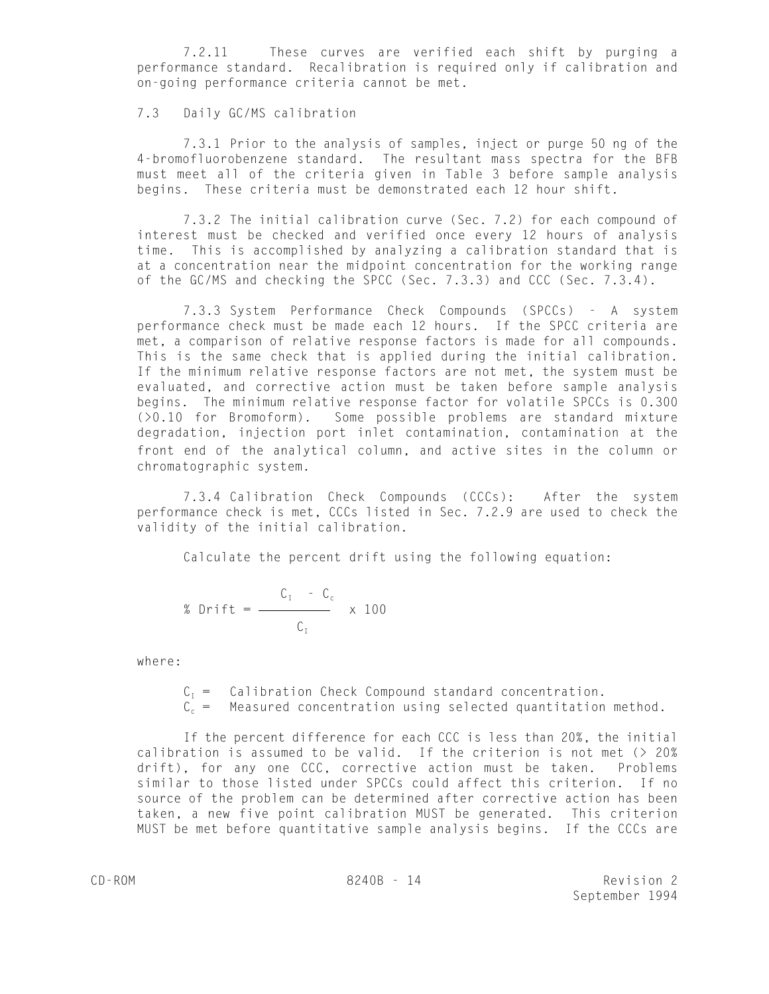7.2.11 These curves are verified each shift by purging a performance standard. Recalibration is required only if calibration and on-going performance criteria cannot be met.

## 7.3 Daily GC/MS calibration

7.3.1 Prior to the analysis of samples, inject or purge 50 ng of the 4-bromofluorobenzene standard. The resultant mass spectra for the BFB must meet all of the criteria given in Table 3 before sample analysis begins. These criteria must be demonstrated each 12 hour shift.

7.3.2 The initial calibration curve (Sec. 7.2) for each compound of interest must be checked and verified once every 12 hours of analysis time. This is accomplished by analyzing a calibration standard that is at a concentration near the midpoint concentration for the working range of the GC/MS and checking the SPCC (Sec. 7.3.3) and CCC (Sec. 7.3.4).

7.3.3 System Performance Check Compounds (SPCCs) - A system performance check must be made each 12 hours. If the SPCC criteria are met, a comparison of relative response factors is made for all compounds. This is the same check that is applied during the initial calibration. If the minimum relative response factors are not met, the system must be evaluated, and corrective action must be taken before sample analysis begins. The minimum relative response factor for volatile SPCCs is 0.300 (>0.10 for Bromoform). Some possible problems are standard mixture degradation, injection port inlet contamination, contamination at the front end of the analytical column, and active sites in the column or chromatographic system.

7.3.4 Calibration Check Compounds (CCCs): After the system performance check is met, CCCs listed in Sec. 7.2.9 are used to check the validity of the initial calibration.

Calculate the percent drift using the following equation:

$$
\text{\% Drift} = \frac{C_{I} - C_{c}}{C_{I}} \times 100
$$

where:

 $C<sub>r</sub>$  = Calibration Check Compound standard concentration.

 $C_c$  = Measured concentration using selected quantitation method.

If the percent difference for each CCC is less than 20%, the initial calibration is assumed to be valid. If the criterion is not met (> 20% drift), for any one CCC, corrective action must be taken. Problems similar to those listed under SPCCs could affect this criterion. If no source of the problem can be determined after corrective action has been taken, a new five point calibration MUST be generated. This criterion MUST be met before quantitative sample analysis begins. If the CCCs are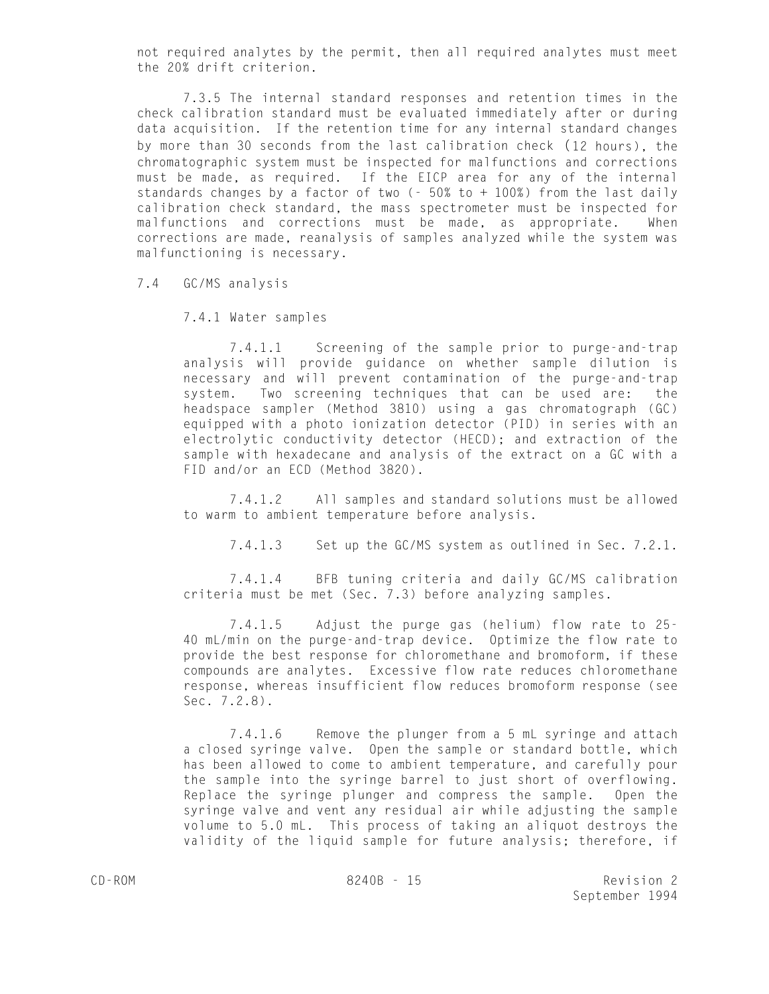not required analytes by the permit, then all required analytes must meet the 20% drift criterion.

7.3.5 The internal standard responses and retention times in the check calibration standard must be evaluated immediately after or during data acquisition. If the retention time for any internal standard changes by more than 30 seconds from the last calibration check (12 hours), the chromatographic system must be inspected for malfunctions and corrections must be made, as required. If the EICP area for any of the internal standards changes by a factor of two (- 50% to + 100%) from the last daily calibration check standard, the mass spectrometer must be inspected for malfunctions and corrections must be made, as appropriate. When corrections are made, reanalysis of samples analyzed while the system was malfunctioning is necessary.

7.4 GC/MS analysis

7.4.1 Water samples

7.4.1.1 Screening of the sample prior to purge-and-trap analysis will provide guidance on whether sample dilution is necessary and will prevent contamination of the purge-and-trap system. Two screening techniques that can be used are: the headspace sampler (Method 3810) using a gas chromatograph (GC) equipped with a photo ionization detector (PID) in series with an electrolytic conductivity detector (HECD); and extraction of the sample with hexadecane and analysis of the extract on a GC with a FID and/or an ECD (Method 3820).

7.4.1.2 All samples and standard solutions must be allowed to warm to ambient temperature before analysis.

7.4.1.3 Set up the GC/MS system as outlined in Sec. 7.2.1.

7.4.1.4 BFB tuning criteria and daily GC/MS calibration criteria must be met (Sec. 7.3) before analyzing samples.

7.4.1.5 Adjust the purge gas (helium) flow rate to 25- 40 mL/min on the purge-and-trap device. Optimize the flow rate to provide the best response for chloromethane and bromoform, if these compounds are analytes. Excessive flow rate reduces chloromethane response, whereas insufficient flow reduces bromoform response (see Sec. 7.2.8).

7.4.1.6 Remove the plunger from a 5 mL syringe and attach a closed syringe valve. Open the sample or standard bottle, which has been allowed to come to ambient temperature, and carefully pour the sample into the syringe barrel to just short of overflowing. Replace the syringe plunger and compress the sample. Open the syringe valve and vent any residual air while adjusting the sample volume to 5.0 mL. This process of taking an aliquot destroys the validity of the liquid sample for future analysis; therefore, if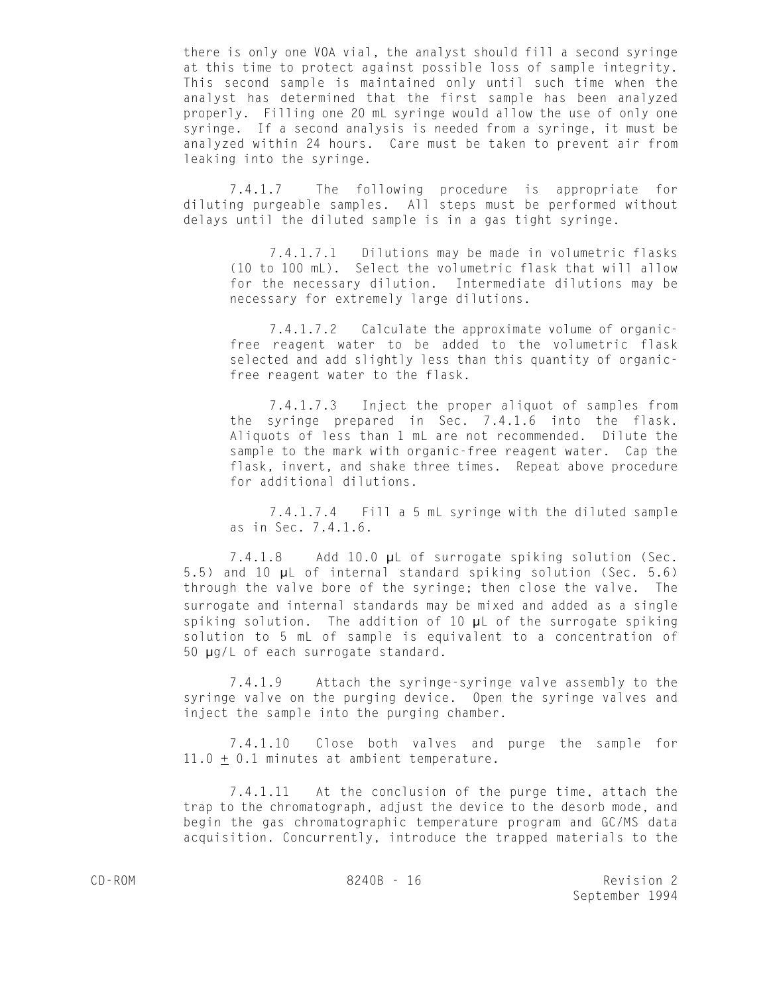there is only one VOA vial, the analyst should fill a second syringe at this time to protect against possible loss of sample integrity. This second sample is maintained only until such time when the analyst has determined that the first sample has been analyzed properly. Filling one 20 mL syringe would allow the use of only one syringe. If a second analysis is needed from a syringe, it must be analyzed within 24 hours. Care must be taken to prevent air from leaking into the syringe.

7.4.1.7 The following procedure is appropriate for diluting purgeable samples. All steps must be performed without delays until the diluted sample is in a gas tight syringe.

7.4.1.7.1 Dilutions may be made in volumetric flasks (10 to 100 mL). Select the volumetric flask that will allow for the necessary dilution. Intermediate dilutions may be necessary for extremely large dilutions.

7.4.1.7.2 Calculate the approximate volume of organicfree reagent water to be added to the volumetric flask selected and add slightly less than this quantity of organicfree reagent water to the flask.

7.4.1.7.3 Inject the proper aliquot of samples from the syringe prepared in Sec. 7.4.1.6 into the flask. Aliquots of less than 1 mL are not recommended. Dilute the sample to the mark with organic-free reagent water. Cap the flask, invert, and shake three times. Repeat above procedure for additional dilutions.

7.4.1.7.4 Fill a 5 mL syringe with the diluted sample as in Sec. 7.4.1.6.

7.4.1.8 Add 10.0 µL of surrogate spiking solution (Sec. 5.5) and 10 µL of internal standard spiking solution (Sec. 5.6) through the valve bore of the syringe; then close the valve. The surrogate and internal standards may be mixed and added as a single spiking solution. The addition of 10 µL of the surrogate spiking solution to 5 mL of sample is equivalent to a concentration of 50 µg/L of each surrogate standard.

7.4.1.9 Attach the syringe-syringe valve assembly to the syringe valve on the purging device. Open the syringe valves and inject the sample into the purging chamber.

7.4.1.10 Close both valves and purge the sample for 11.0  $\pm$  0.1 minutes at ambient temperature.

7.4.1.11 At the conclusion of the purge time, attach the trap to the chromatograph, adjust the device to the desorb mode, and begin the gas chromatographic temperature program and GC/MS data acquisition. Concurrently, introduce the trapped materials to the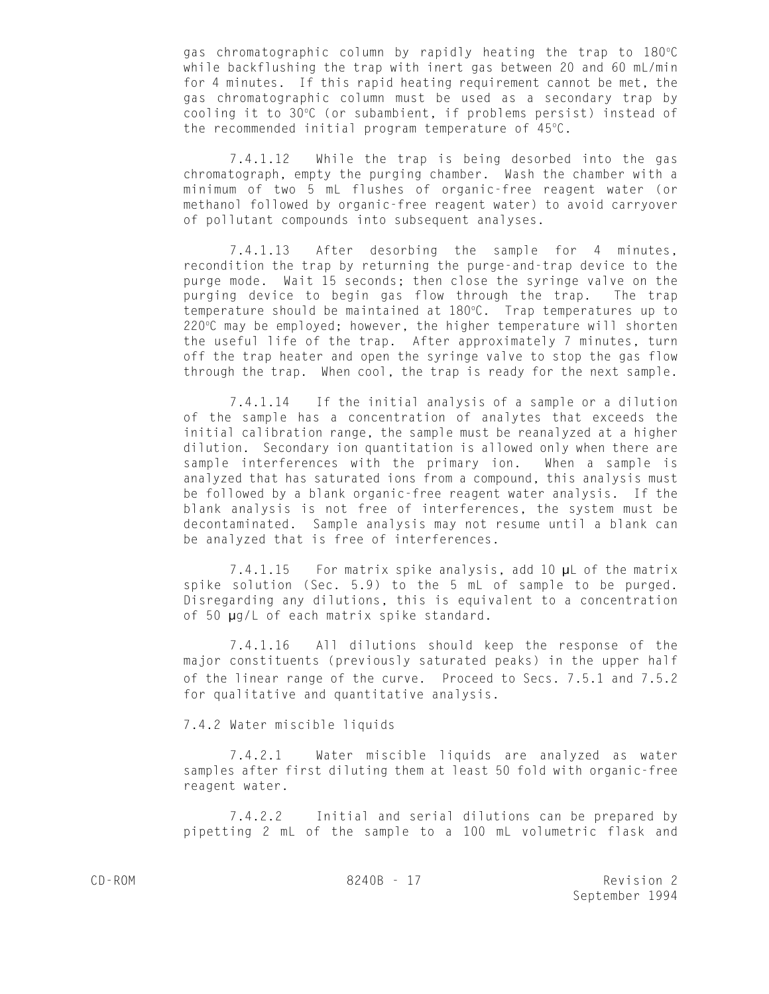gas chromatographic column by rapidly heating the trap to 180°C while backflushing the trap with inert gas between 20 and 60 mL/min for 4 minutes. If this rapid heating requirement cannot be met, the gas chromatographic column must be used as a secondary trap by cooling it to 30°C (or subambient, if problems persist) instead of the recommended initial program temperature of  $45^{\circ}$ C.

7.4.1.12 While the trap is being desorbed into the gas chromatograph, empty the purging chamber. Wash the chamber with a minimum of two 5 mL flushes of organic-free reagent water (or methanol followed by organic-free reagent water) to avoid carryover of pollutant compounds into subsequent analyses.

7.4.1.13 After desorbing the sample for 4 minutes, recondition the trap by returning the purge-and-trap device to the purge mode. Wait 15 seconds; then close the syringe valve on the purging device to begin gas flow through the trap. The trap temperature should be maintained at 180°C. Trap temperatures up to 220°C may be employed; however, the higher temperature will shorten the useful life of the trap. After approximately 7 minutes, turn off the trap heater and open the syringe valve to stop the gas flow through the trap. When cool, the trap is ready for the next sample.

7.4.1.14 If the initial analysis of a sample or a dilution of the sample has a concentration of analytes that exceeds the initial calibration range, the sample must be reanalyzed at a higher dilution. Secondary ion quantitation is allowed only when there are sample interferences with the primary ion. When a sample is analyzed that has saturated ions from a compound, this analysis must be followed by a blank organic-free reagent water analysis. If the blank analysis is not free of interferences, the system must be decontaminated. Sample analysis may not resume until a blank can be analyzed that is free of interferences.

7.4.1.15 For matrix spike analysis, add 10 µL of the matrix spike solution (Sec. 5.9) to the 5 mL of sample to be purged. Disregarding any dilutions, this is equivalent to a concentration of 50 µg/L of each matrix spike standard.

7.4.1.16 All dilutions should keep the response of the major constituents (previously saturated peaks) in the upper half of the linear range of the curve. Proceed to Secs. 7.5.1 and 7.5.2 for qualitative and quantitative analysis.

7.4.2 Water miscible liquids

7.4.2.1 Water miscible liquids are analyzed as water samples after first diluting them at least 50 fold with organic-free reagent water.

7.4.2.2 Initial and serial dilutions can be prepared by pipetting 2 mL of the sample to a 100 mL volumetric flask and

CD-ROM 8240B - 17 Revision 2 September 1994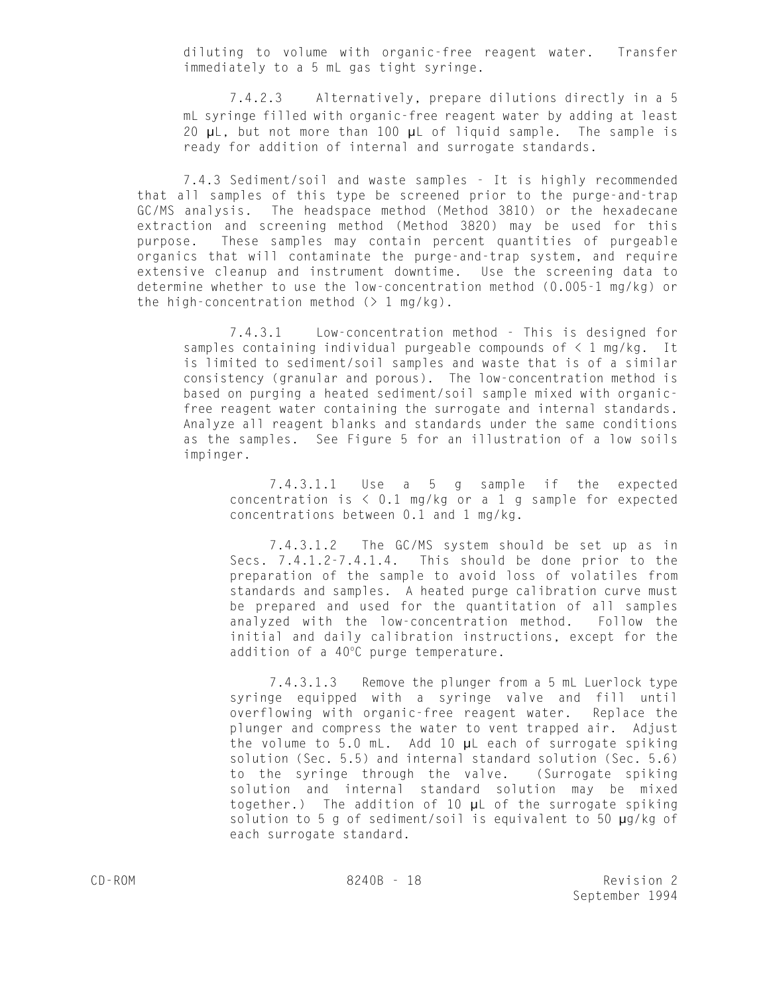diluting to volume with organic-free reagent water. Transfer immediately to a 5 mL gas tight syringe.

7.4.2.3 Alternatively, prepare dilutions directly in a 5 mL syringe filled with organic-free reagent water by adding at least 20 µL, but not more than 100 µL of liquid sample. The sample is ready for addition of internal and surrogate standards.

7.4.3 Sediment/soil and waste samples - It is highly recommended that all samples of this type be screened prior to the purge-and-trap GC/MS analysis. The headspace method (Method 3810) or the hexadecane extraction and screening method (Method 3820) may be used for this purpose. These samples may contain percent quantities of purgeable organics that will contaminate the purge-and-trap system, and require extensive cleanup and instrument downtime. Use the screening data to determine whether to use the low-concentration method (0.005-1 mg/kg) or the high-concentration method  $(2 \t 1 mg/kg)$ .

7.4.3.1 Low-concentration method - This is designed for samples containing individual purgeable compounds of  $\leq 1$  mg/kg. It is limited to sediment/soil samples and waste that is of a similar consistency (granular and porous). The low-concentration method is based on purging a heated sediment/soil sample mixed with organicfree reagent water containing the surrogate and internal standards. Analyze all reagent blanks and standards under the same conditions as the samples. See Figure 5 for an illustration of a low soils impinger.

7.4.3.1.1 Use a 5 g sample if the expected concentration is  $\langle$  0.1 mg/kg or a 1 g sample for expected concentrations between 0.1 and 1 mg/kg.

7.4.3.1.2 The GC/MS system should be set up as in Secs. 7.4.1.2-7.4.1.4. This should be done prior to the preparation of the sample to avoid loss of volatiles from standards and samples. A heated purge calibration curve must be prepared and used for the quantitation of all samples analyzed with the low-concentration method. Follow the initial and daily calibration instructions, except for the addition of a  $40^{\circ}$ C purge temperature.

7.4.3.1.3 Remove the plunger from a 5 mL Luerlock type syringe equipped with a syringe valve and fill until overflowing with organic-free reagent water. Replace the plunger and compress the water to vent trapped air. Adjust the volume to 5.0 mL. Add 10 µL each of surrogate spiking solution (Sec. 5.5) and internal standard solution (Sec. 5.6) to the syringe through the valve. (Surrogate spiking solution and internal standard solution may be mixed together.) The addition of 10 µL of the surrogate spiking solution to 5 g of sediment/soil is equivalent to 50 µg/kg of each surrogate standard.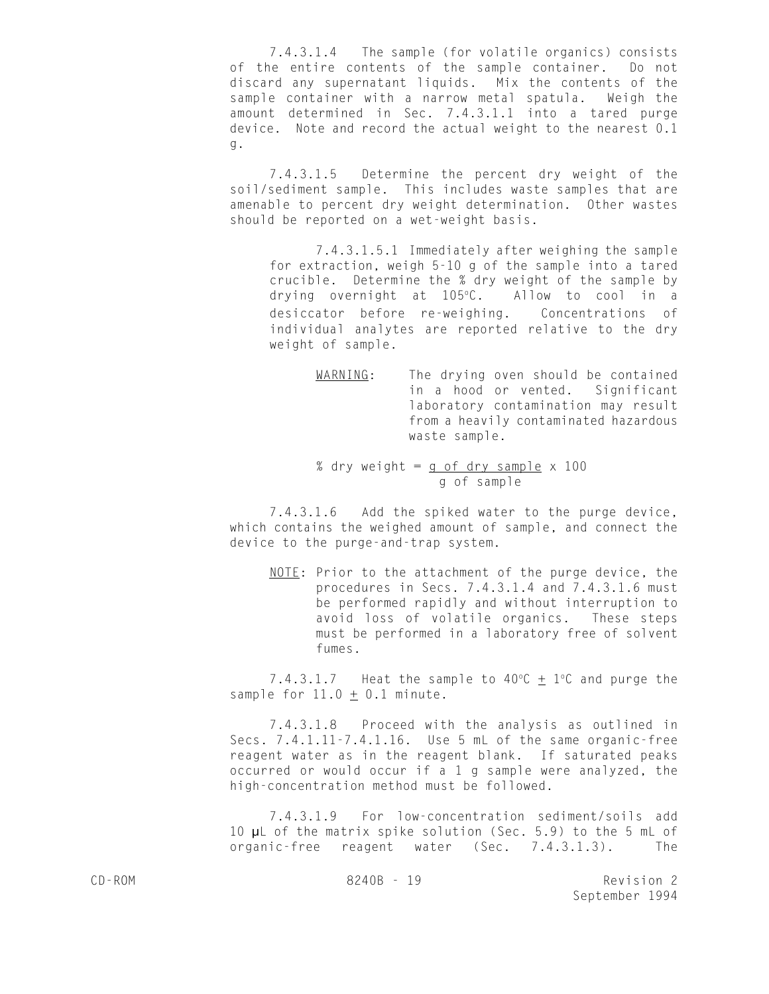7.4.3.1.4 The sample (for volatile organics) consists of the entire contents of the sample container. Do not discard any supernatant liquids. Mix the contents of the sample container with a narrow metal spatula. Weigh the amount determined in Sec. 7.4.3.1.1 into a tared purge device. Note and record the actual weight to the nearest 0.1 g.

7.4.3.1.5 Determine the percent dry weight of the soil/sediment sample. This includes waste samples that are amenable to percent dry weight determination. Other wastes should be reported on a wet-weight basis.

7.4.3.1.5.1 Immediately after weighing the sample for extraction, weigh 5-10 g of the sample into a tared crucible. Determine the % dry weight of the sample by drying overnight at 105°C. Allow to cool in a desiccator before re-weighing. Concentrations of individual analytes are reported relative to the dry weight of sample.

> WARNING: The drying oven should be contained in a hood or vented. Significant laboratory contamination may result from a heavily contaminated hazardous waste sample.

% dry weight =  $q$  of dry sample  $\times$  100 g of sample

7.4.3.1.6 Add the spiked water to the purge device, which contains the weighed amount of sample, and connect the device to the purge-and-trap system.

NOTE: Prior to the attachment of the purge device, the procedures in Secs. 7.4.3.1.4 and 7.4.3.1.6 must be performed rapidly and without interruption to avoid loss of volatile organics. These steps must be performed in a laboratory free of solvent fumes.

7.4.3.1.7 Heat the sample to  $40^{\circ}C + 1^{\circ}C$  and purge the sample for  $11.0 + 0.1$  minute.

7.4.3.1.8 Proceed with the analysis as outlined in Secs. 7.4.1.11-7.4.1.16. Use 5 mL of the same organic-free reagent water as in the reagent blank. If saturated peaks occurred or would occur if a 1 g sample were analyzed, the high-concentration method must be followed.

7.4.3.1.9 For low-concentration sediment/soils add 10 µL of the matrix spike solution (Sec. 5.9) to the 5 mL of organic-free reagent water (Sec. 7.4.3.1.3). The

CD-ROM 8240B - 19 Revision 2 September 1994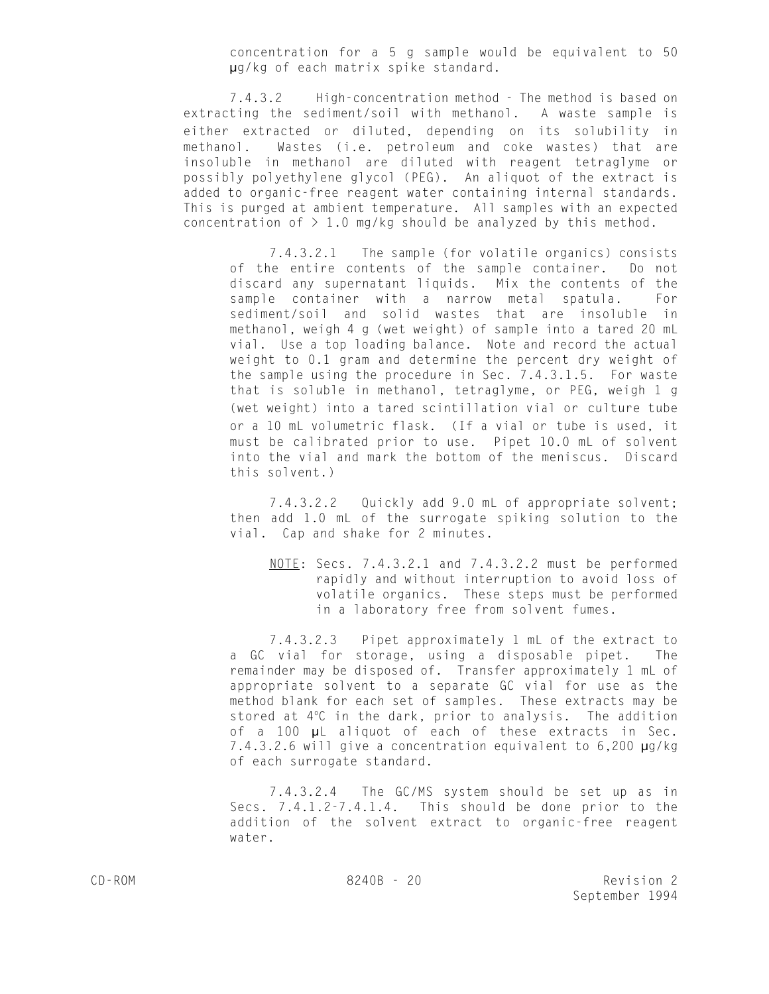concentration for a 5 g sample would be equivalent to 50 µg/kg of each matrix spike standard.

7.4.3.2 High-concentration method - The method is based on extracting the sediment/soil with methanol. A waste sample is either extracted or diluted, depending on its solubility in methanol. Wastes (i.e. petroleum and coke wastes) that are insoluble in methanol are diluted with reagent tetraglyme or possibly polyethylene glycol (PEG). An aliquot of the extract is added to organic-free reagent water containing internal standards. This is purged at ambient temperature. All samples with an expected concentration of  $> 1.0$  mg/kg should be analyzed by this method.

7.4.3.2.1 The sample (for volatile organics) consists of the entire contents of the sample container. Do not discard any supernatant liquids. Mix the contents of the sample container with a narrow metal spatula. For sediment/soil and solid wastes that are insoluble in methanol, weigh 4 g (wet weight) of sample into a tared 20 mL vial. Use a top loading balance. Note and record the actual weight to 0.1 gram and determine the percent dry weight of the sample using the procedure in Sec. 7.4.3.1.5. For waste that is soluble in methanol, tetraglyme, or PEG, weigh 1 g (wet weight) into a tared scintillation vial or culture tube or a 10 mL volumetric flask. (If a vial or tube is used, it must be calibrated prior to use. Pipet 10.0 mL of solvent into the vial and mark the bottom of the meniscus. Discard this solvent.)

7.4.3.2.2 Quickly add 9.0 mL of appropriate solvent; then add 1.0 mL of the surrogate spiking solution to the vial. Cap and shake for 2 minutes.

NOTE: Secs. 7.4.3.2.1 and 7.4.3.2.2 must be performed rapidly and without interruption to avoid loss of volatile organics. These steps must be performed in a laboratory free from solvent fumes.

7.4.3.2.3 Pipet approximately 1 mL of the extract to a GC vial for storage, using a disposable pipet. The remainder may be disposed of. Transfer approximately 1 mL of appropriate solvent to a separate GC vial for use as the method blank for each set of samples. These extracts may be stored at 4°C in the dark, prior to analysis. The addition of a 100 µL aliquot of each of these extracts in Sec. 7.4.3.2.6 will give a concentration equivalent to 6,200 µg/kg of each surrogate standard.

7.4.3.2.4 The GC/MS system should be set up as in Secs. 7.4.1.2-7.4.1.4. This should be done prior to the addition of the solvent extract to organic-free reagent water.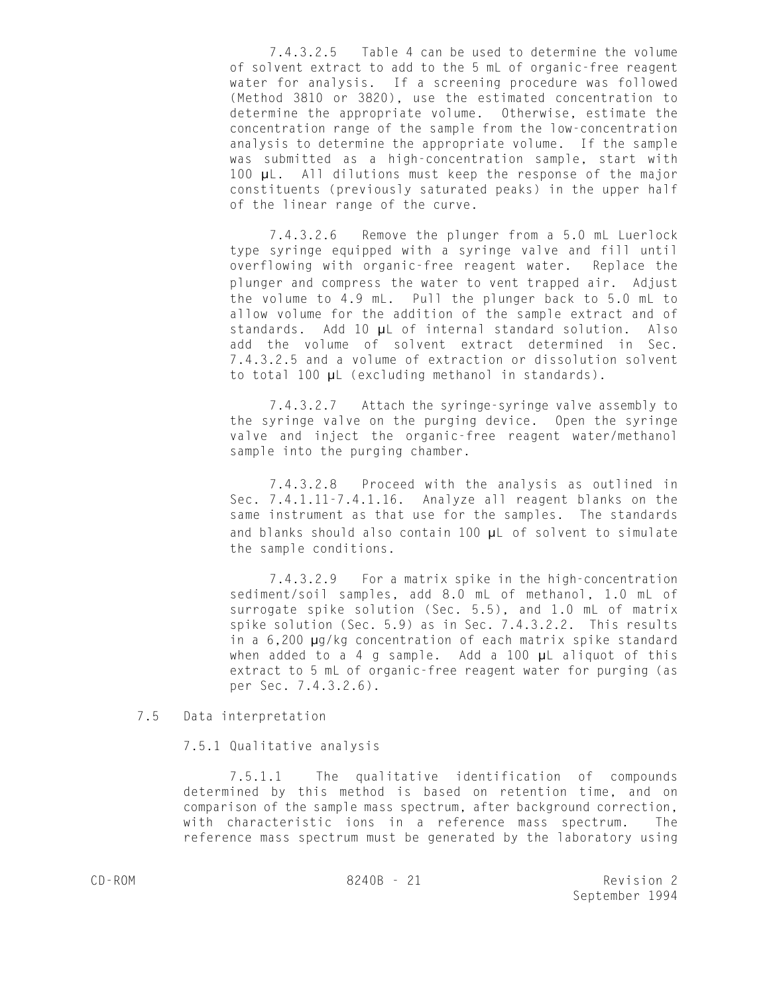7.4.3.2.5 Table 4 can be used to determine the volume of solvent extract to add to the 5 mL of organic-free reagent water for analysis. If a screening procedure was followed (Method 3810 or 3820), use the estimated concentration to determine the appropriate volume. Otherwise, estimate the concentration range of the sample from the low-concentration analysis to determine the appropriate volume. If the sample was submitted as a high-concentration sample, start with 100 µL. All dilutions must keep the response of the major constituents (previously saturated peaks) in the upper half of the linear range of the curve.

7.4.3.2.6 Remove the plunger from a 5.0 mL Luerlock type syringe equipped with a syringe valve and fill until overflowing with organic-free reagent water. Replace the plunger and compress the water to vent trapped air. Adjust the volume to 4.9 mL. Pull the plunger back to 5.0 mL to allow volume for the addition of the sample extract and of standards. Add 10 µL of internal standard solution. Also add the volume of solvent extract determined in Sec. 7.4.3.2.5 and a volume of extraction or dissolution solvent to total 100 µL (excluding methanol in standards).

7.4.3.2.7 Attach the syringe-syringe valve assembly to the syringe valve on the purging device. Open the syringe valve and inject the organic-free reagent water/methanol sample into the purging chamber.

7.4.3.2.8 Proceed with the analysis as outlined in Sec. 7.4.1.11-7.4.1.16. Analyze all reagent blanks on the same instrument as that use for the samples. The standards and blanks should also contain 100 µL of solvent to simulate the sample conditions.

7.4.3.2.9 For a matrix spike in the high-concentration sediment/soil samples, add 8.0 mL of methanol, 1.0 mL of surrogate spike solution (Sec. 5.5), and 1.0 mL of matrix spike solution (Sec. 5.9) as in Sec. 7.4.3.2.2. This results in a 6,200 µg/kg concentration of each matrix spike standard when added to a 4 g sample. Add a 100 µL aliquot of this extract to 5 mL of organic-free reagent water for purging (as per Sec. 7.4.3.2.6).

7.5 Data interpretation

7.5.1 Qualitative analysis

7.5.1.1 The qualitative identification of compounds determined by this method is based on retention time, and on comparison of the sample mass spectrum, after background correction, with characteristic ions in a reference mass spectrum. The reference mass spectrum must be generated by the laboratory using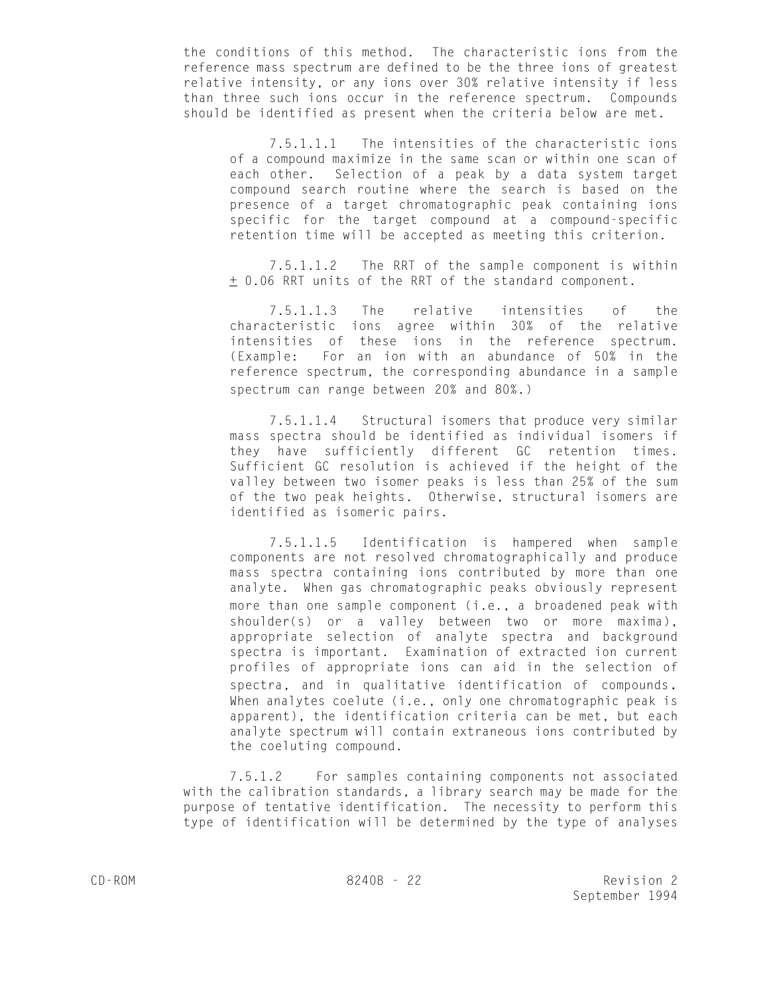the conditions of this method. The characteristic ions from the reference mass spectrum are defined to be the three ions of greatest relative intensity, or any ions over 30% relative intensity if less than three such ions occur in the reference spectrum. Compounds should be identified as present when the criteria below are met.

7.5.1.1.1 The intensities of the characteristic ions of a compound maximize in the same scan or within one scan of each other. Selection of a peak by a data system target compound search routine where the search is based on the presence of a target chromatographic peak containing ions specific for the target compound at a compound-specific retention time will be accepted as meeting this criterion.

7.5.1.1.2 The RRT of the sample component is within  $\pm$  0.06 RRT units of the RRT of the standard component.

7.5.1.1.3 The relative intensities of the characteristic ions agree within 30% of the relative intensities of these ions in the reference spectrum. (Example: For an ion with an abundance of 50% in the reference spectrum, the corresponding abundance in a sample spectrum can range between 20% and 80%.)

7.5.1.1.4 Structural isomers that produce very similar mass spectra should be identified as individual isomers if they have sufficiently different GC retention times. Sufficient GC resolution is achieved if the height of the valley between two isomer peaks is less than 25% of the sum of the two peak heights. Otherwise, structural isomers are identified as isomeric pairs.

7.5.1.1.5 Identification is hampered when sample components are not resolved chromatographically and produce mass spectra containing ions contributed by more than one analyte. When gas chromatographic peaks obviously represent more than one sample component (i.e., a broadened peak with shoulder(s) or a valley between two or more maxima), appropriate selection of analyte spectra and background spectra is important. Examination of extracted ion current profiles of appropriate ions can aid in the selection of spectra, and in qualitative identification of compounds. When analytes coelute (i.e., only one chromatographic peak is apparent), the identification criteria can be met, but each analyte spectrum will contain extraneous ions contributed by the coeluting compound.

7.5.1.2 For samples containing components not associated with the calibration standards, a library search may be made for the purpose of tentative identification. The necessity to perform this type of identification will be determined by the type of analyses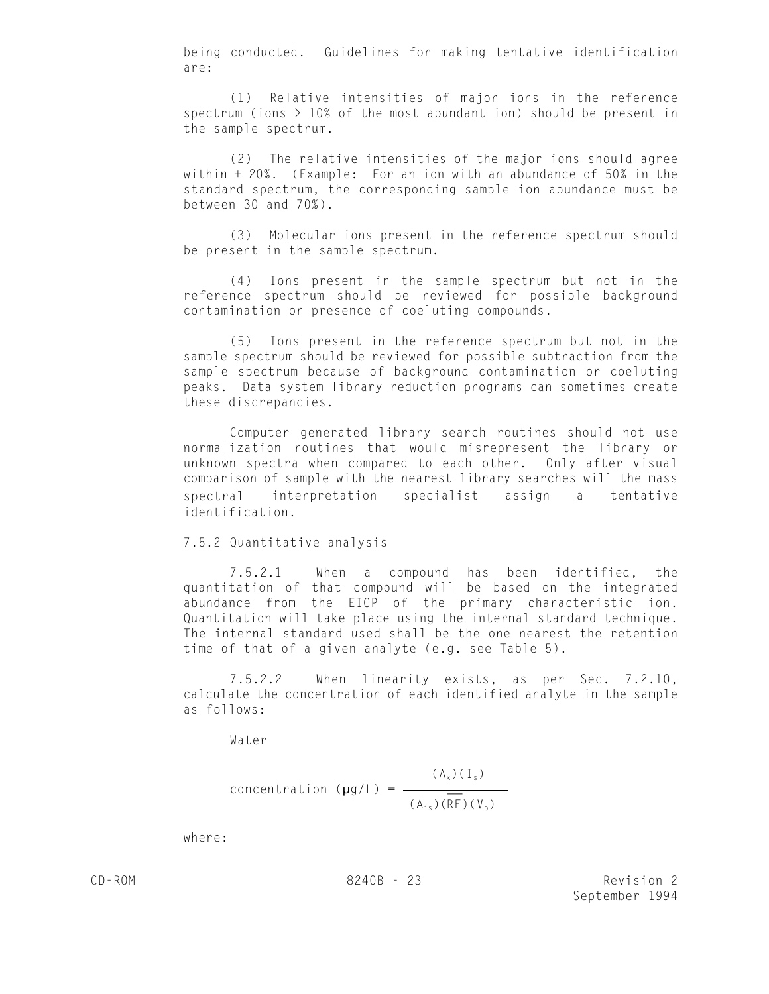being conducted. Guidelines for making tentative identification are:

(1) Relative intensities of major ions in the reference spectrum (ions  $> 10\%$  of the most abundant ion) should be present in the sample spectrum.

(2) The relative intensities of the major ions should agree within  $\pm$  20%. (Example: For an ion with an abundance of 50% in the standard spectrum, the corresponding sample ion abundance must be between 30 and 70%).

(3) Molecular ions present in the reference spectrum should be present in the sample spectrum.

(4) Ions present in the sample spectrum but not in the reference spectrum should be reviewed for possible background contamination or presence of coeluting compounds.

(5) Ions present in the reference spectrum but not in the sample spectrum should be reviewed for possible subtraction from the sample spectrum because of background contamination or coeluting peaks. Data system library reduction programs can sometimes create these discrepancies.

Computer generated library search routines should not use normalization routines that would misrepresent the library or unknown spectra when compared to each other. Only after visual comparison of sample with the nearest library searches will the mass spectral interpretation specialist assign a tentative identification.

#### 7.5.2 Quantitative analysis

7.5.2.1 When a compound has been identified, the quantitation of that compound will be based on the integrated abundance from the EICP of the primary characteristic ion. Quantitation will take place using the internal standard technique. The internal standard used shall be the one nearest the retention time of that of a given analyte (e.g. see Table 5).

7.5.2.2 When linearity exists, as per Sec. 7.2.10, calculate the concentration of each identified analyte in the sample as follows:

Water

concentration 
$$
(\mu g/L) = \frac{(A_x)(I_s)}{(A_{is})(RF)(V_o)}
$$

where: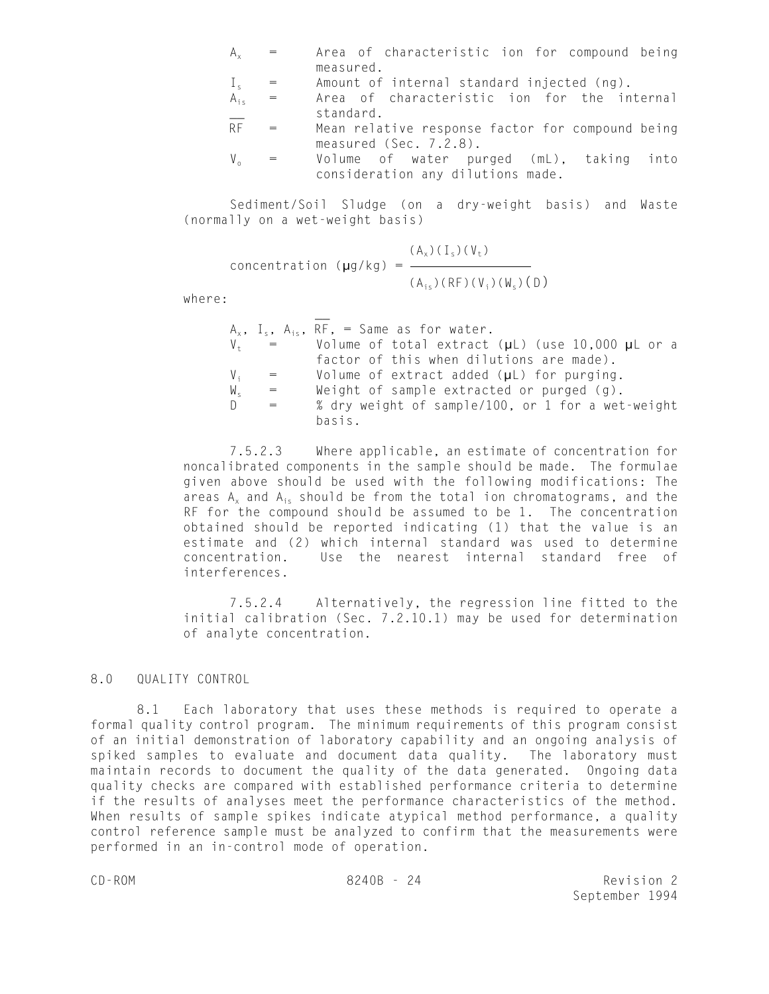- $A_x$  = Area of characteristic ion for compound being measured.
- $I_s$  = Amount of internal standard injected (ng).
- $A_{is}$  = Area of characteristic ion for the internal standard.  $\overline{\phantom{a}}$
- RF = Mean relative response factor for compound being measured (Sec. 7.2.8).
- $V_0$  = Volume of water purged (mL), taking into consideration any dilutions made.

Sediment/Soil Sludge (on a dry-weight basis) and Waste (normally on a wet-weight basis)

$$
\begin{array}{lll}\n\text{concentration} & (\mu g / kg) & = \frac{(A_x)(I_s)(V_t)}{(A_{is})(RF)(V_i)(W_s)(D)}\n\end{array}
$$

where:

|                |                   | $A_x$ , I <sub>s</sub> , $A_{iS}$ , RF, = Same as for water. |
|----------------|-------------------|--------------------------------------------------------------|
|                | $V_{+}$ =         | Volume of total extract $(\mu L)$ (use 10,000 $\mu L$ or a   |
|                |                   | factor of this when dilutions are made).                     |
| $V_{i}$        | $\alpha = \alpha$ | Volume of extract added $(\mu L)$ for purging.               |
| M <sub>c</sub> | $=$               | Weight of sample extracted or purged (g).                    |
| $\Box$         | $=$               | % dry weight of sample/100, or 1 for a wet-weight            |
|                |                   | basis.                                                       |

7.5.2.3 Where applicable, an estimate of concentration for noncalibrated components in the sample should be made. The formulae given above should be used with the following modifications: The areas  $A_x$  and  $A_i$ , should be from the total ion chromatograms, and the RF for the compound should be assumed to be 1. The concentration obtained should be reported indicating (1) that the value is an estimate and (2) which internal standard was used to determine concentration. Use the nearest internal standard free of interferences.

7.5.2.4 Alternatively, the regression line fitted to the initial calibration (Sec. 7.2.10.1) may be used for determination of analyte concentration.

#### 8.0 QUALITY CONTROL

8.1 Each laboratory that uses these methods is required to operate a formal quality control program. The minimum requirements of this program consist of an initial demonstration of laboratory capability and an ongoing analysis of spiked samples to evaluate and document data quality. The laboratory must maintain records to document the quality of the data generated. Ongoing data quality checks are compared with established performance criteria to determine if the results of analyses meet the performance characteristics of the method. When results of sample spikes indicate atypical method performance, a quality control reference sample must be analyzed to confirm that the measurements were performed in an in-control mode of operation.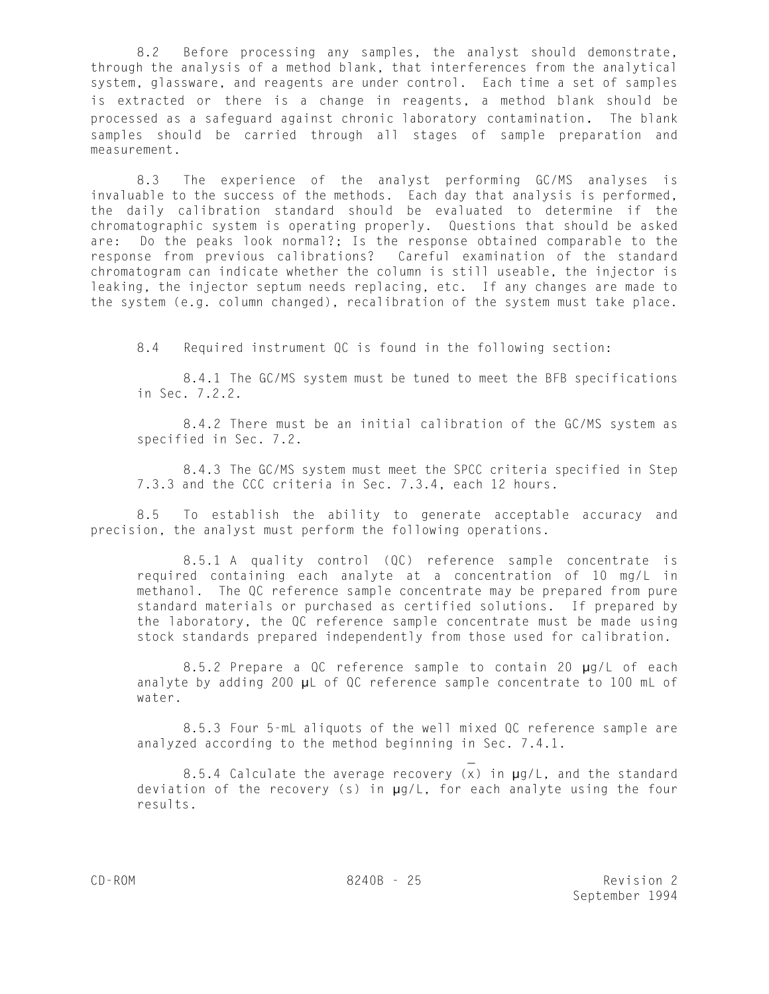8.2 Before processing any samples, the analyst should demonstrate, through the analysis of a method blank, that interferences from the analytical system, glassware, and reagents are under control. Each time a set of samples is extracted or there is a change in reagents, a method blank should be processed as a safeguard against chronic laboratory contamination. The blank samples should be carried through all stages of sample preparation and measurement.

8.3 The experience of the analyst performing GC/MS analyses is invaluable to the success of the methods. Each day that analysis is performed, the daily calibration standard should be evaluated to determine if the chromatographic system is operating properly. Questions that should be asked are: Do the peaks look normal?; Is the response obtained comparable to the response from previous calibrations? Careful examination of the standard chromatogram can indicate whether the column is still useable, the injector is leaking, the injector septum needs replacing, etc. If any changes are made to the system (e.g. column changed), recalibration of the system must take place.

8.4 Required instrument QC is found in the following section:

8.4.1 The GC/MS system must be tuned to meet the BFB specifications in Sec. 7.2.2.

8.4.2 There must be an initial calibration of the GC/MS system as specified in Sec. 7.2.

8.4.3 The GC/MS system must meet the SPCC criteria specified in Step 7.3.3 and the CCC criteria in Sec. 7.3.4, each 12 hours.

8.5 To establish the ability to generate acceptable accuracy and precision, the analyst must perform the following operations.

8.5.1 A quality control (QC) reference sample concentrate is required containing each analyte at a concentration of 10 mg/L in methanol. The QC reference sample concentrate may be prepared from pure standard materials or purchased as certified solutions. If prepared by the laboratory, the QC reference sample concentrate must be made using stock standards prepared independently from those used for calibration.

8.5.2 Prepare a QC reference sample to contain 20 µg/L of each analyte by adding 200 µL of QC reference sample concentrate to 100 mL of water.

8.5.3 Four 5-mL aliquots of the well mixed QC reference sample are analyzed according to the method beginning in Sec. 7.4.1.

\_

8.5.4 Calculate the average recovery  $(x)$  in  $\mu$ g/L, and the standard deviation of the recovery (s) in µg/L, for each analyte using the four results.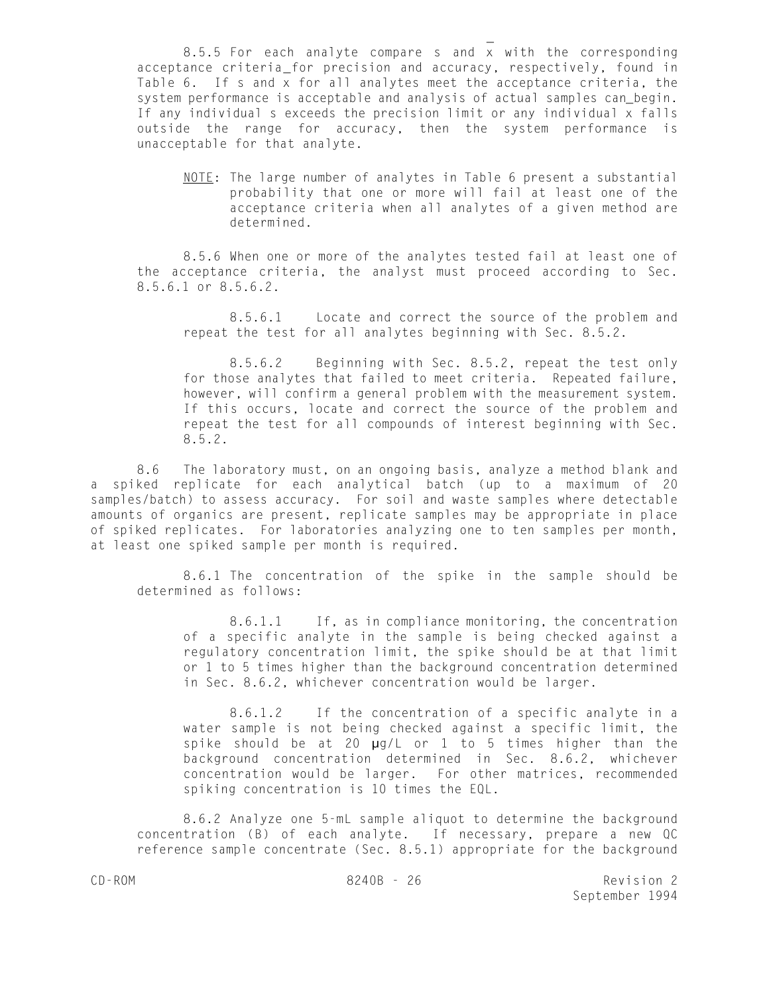8.5.5 For each analyte compare s and x with the corresponding \_ acceptance criteria\_for precision and accuracy, respectively, found in Table 6. If s and x for all analytes meet the acceptance criteria, the system performance is acceptable and analysis of actual samples can\_begin. If any individual s exceeds the precision limit or any individual x falls outside the range for accuracy, then the system performance is unacceptable for that analyte.

NOTE: The large number of analytes in Table 6 present a substantial probability that one or more will fail at least one of the acceptance criteria when all analytes of a given method are determined.

8.5.6 When one or more of the analytes tested fail at least one of the acceptance criteria, the analyst must proceed according to Sec. 8.5.6.1 or 8.5.6.2.

8.5.6.1 Locate and correct the source of the problem and repeat the test for all analytes beginning with Sec. 8.5.2.

8.5.6.2 Beginning with Sec. 8.5.2, repeat the test only for those analytes that failed to meet criteria. Repeated failure, however, will confirm a general problem with the measurement system. If this occurs, locate and correct the source of the problem and repeat the test for all compounds of interest beginning with Sec. 8.5.2.

8.6 The laboratory must, on an ongoing basis, analyze a method blank and a spiked replicate for each analytical batch (up to a maximum of 20 samples/batch) to assess accuracy. For soil and waste samples where detectable amounts of organics are present, replicate samples may be appropriate in place of spiked replicates. For laboratories analyzing one to ten samples per month, at least one spiked sample per month is required.

8.6.1 The concentration of the spike in the sample should be determined as follows:

8.6.1.1 If, as in compliance monitoring, the concentration of a specific analyte in the sample is being checked against a regulatory concentration limit, the spike should be at that limit or 1 to 5 times higher than the background concentration determined in Sec. 8.6.2, whichever concentration would be larger.

8.6.1.2 If the concentration of a specific analyte in a water sample is not being checked against a specific limit, the spike should be at 20  $\mu$ g/L or 1 to 5 times higher than the background concentration determined in Sec. 8.6.2, whichever concentration would be larger. For other matrices, recommended spiking concentration is 10 times the EQL.

8.6.2 Analyze one 5-mL sample aliquot to determine the background concentration (B) of each analyte. If necessary, prepare a new QC reference sample concentrate (Sec. 8.5.1) appropriate for the background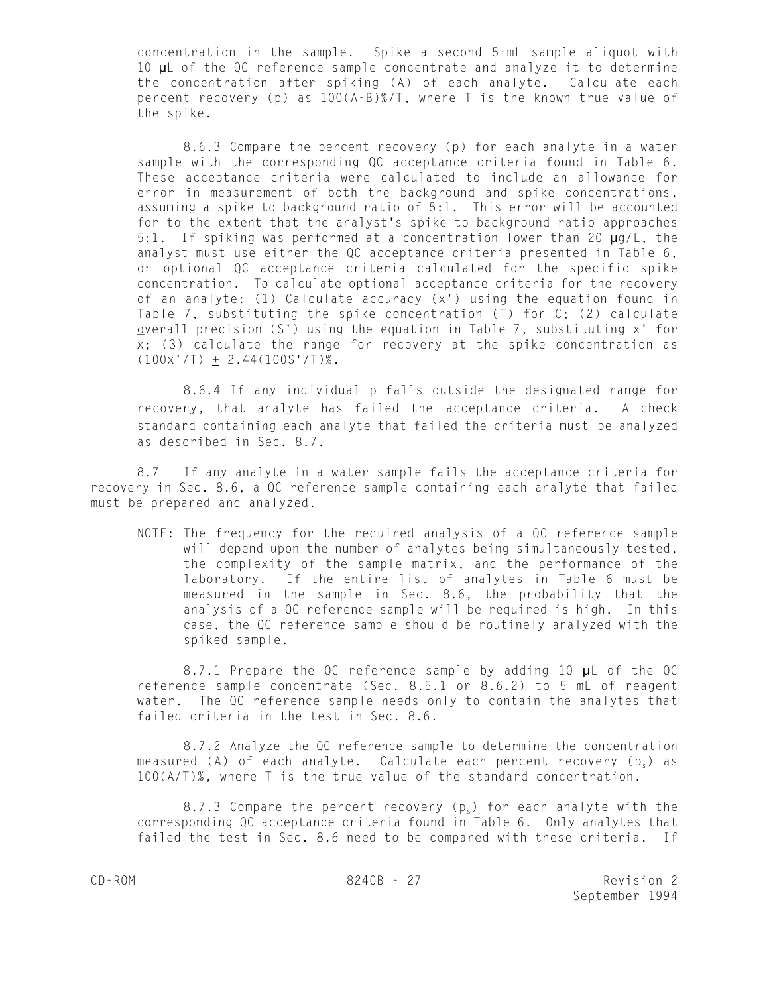concentration in the sample. Spike a second 5-mL sample aliquot with 10 µL of the QC reference sample concentrate and analyze it to determine the concentration after spiking (A) of each analyte. Calculate each percent recovery (p) as 100(A-B)%/T, where T is the known true value of the spike.

8.6.3 Compare the percent recovery (p) for each analyte in a water sample with the corresponding QC acceptance criteria found in Table 6. These acceptance criteria were calculated to include an allowance for error in measurement of both the background and spike concentrations, assuming a spike to background ratio of 5:1. This error will be accounted for to the extent that the analyst's spike to background ratio approaches 5:1. If spiking was performed at a concentration lower than 20 µg/L, the analyst must use either the QC acceptance criteria presented in Table 6, or optional QC acceptance criteria calculated for the specific spike concentration. To calculate optional acceptance criteria for the recovery of an analyte: (1) Calculate accuracy (x') using the equation found in Table 7, substituting the spike concentration (T) for C; (2) calculate <u>o</u>verall precision (S') using the equation in Table 7, substituting  $x^{\centerdot}$  for x; (3) calculate the range for recovery at the spike concentration as  $(100x'/T) \pm 2.44(100S'/T)\%$ .

8.6.4 If any individual p falls outside the designated range for recovery, that analyte has failed the acceptance criteria. A check standard containing each analyte that failed the criteria must be analyzed as described in Sec. 8.7.

8.7 If any analyte in a water sample fails the acceptance criteria for recovery in Sec. 8.6, a QC reference sample containing each analyte that failed must be prepared and analyzed.

NOTE: The frequency for the required analysis of a QC reference sample will depend upon the number of analytes being simultaneously tested, the complexity of the sample matrix, and the performance of the laboratory. If the entire list of analytes in Table 6 must be measured in the sample in Sec. 8.6, the probability that the analysis of a QC reference sample will be required is high. In this case, the QC reference sample should be routinely analyzed with the spiked sample.

8.7.1 Prepare the QC reference sample by adding 10 µL of the QC reference sample concentrate (Sec. 8.5.1 or 8.6.2) to 5 mL of reagent water. The QC reference sample needs only to contain the analytes that failed criteria in the test in Sec. 8.6.

8.7.2 Analyze the QC reference sample to determine the concentration measured (A) of each analyte. Calculate each percent recovery  $(p_{s})$  as 100(A/T)%, where T is the true value of the standard concentration.

8.7.3 Compare the percent recovery  $(p_s)$  for each analyte with the corresponding QC acceptance criteria found in Table 6. Only analytes that failed the test in Sec. 8.6 need to be compared with these criteria. If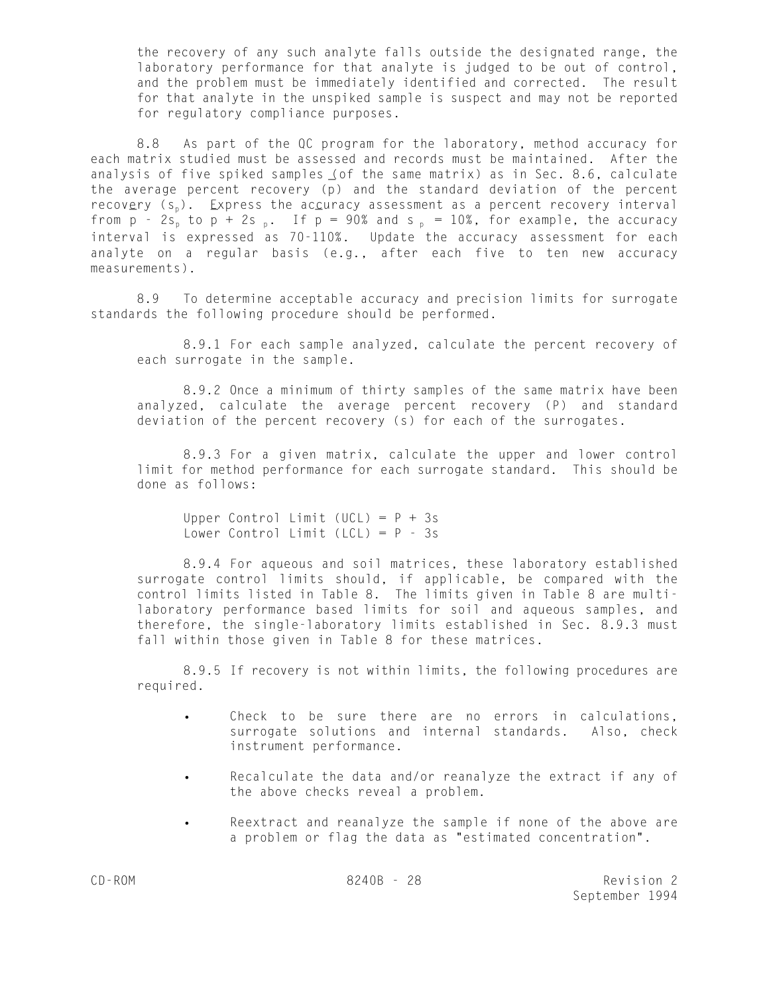the recovery of any such analyte falls outside the designated range, the laboratory performance for that analyte is judged to be out of control, and the problem must be immediately identified and corrected. The result for that analyte in the unspiked sample is suspect and may not be reported for regulatory compliance purposes.

8.8 As part of the QC program for the laboratory, method accuracy for each matrix studied must be assessed and records must be maintained. After the analysis of five spiked samples (of the same matrix) as in Sec. 8.6, calculate \_ the average percent recovery (p) and the standard deviation of the percent recov $ery (s<sub>p</sub>)$ . Express the accuracy assessment as a percent recovery interval</u> from p – 2s<sub>p</sub> to p + 2s <sub>p</sub>. If p = 90% and s <sub>p</sub> = 10%, for example, the accuracy interval is expressed as 70-110%. Update the accuracy assessment for each analyte on a regular basis (e.g., after each five to ten new accuracy measurements).

8.9 To determine acceptable accuracy and precision limits for surrogate standards the following procedure should be performed.

8.9.1 For each sample analyzed, calculate the percent recovery of each surrogate in the sample.

8.9.2 Once a minimum of thirty samples of the same matrix have been analyzed, calculate the average percent recovery (P) and standard deviation of the percent recovery (s) for each of the surrogates.

8.9.3 For a given matrix, calculate the upper and lower control limit for method performance for each surrogate standard. This should be done as follows:

Upper Control Limit (UCL) =  $P + 3s$ Lower Control Limit (LCL) =  $P - 3s$ 

8.9.4 For aqueous and soil matrices, these laboratory established surrogate control limits should, if applicable, be compared with the control limits listed in Table 8. The limits given in Table 8 are multilaboratory performance based limits for soil and aqueous samples, and therefore, the single-laboratory limits established in Sec. 8.9.3 must fall within those given in Table 8 for these matrices.

8.9.5 If recovery is not within limits, the following procedures are required.

- Check to be sure there are no errors in calculations, surrogate solutions and internal standards. Also, check instrument performance.
- Recalculate the data and/or reanalyze the extract if any of the above checks reveal a problem.
- Reextract and reanalyze the sample if none of the above are a problem or flag the data as "estimated concentration".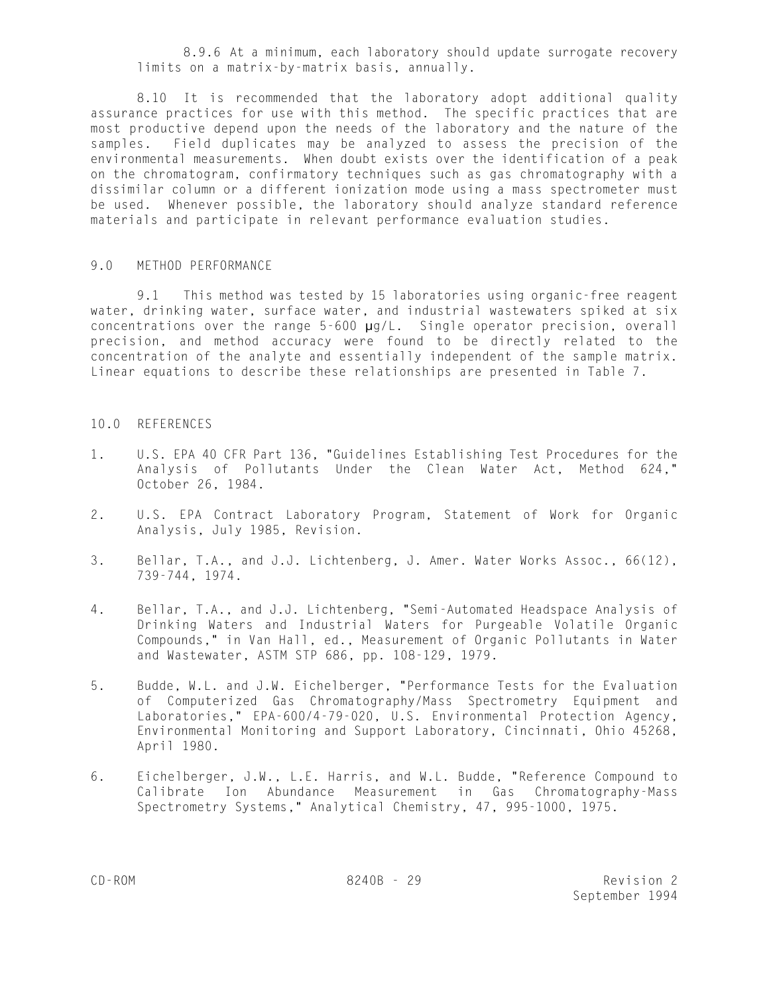8.9.6 At a minimum, each laboratory should update surrogate recovery limits on a matrix-by-matrix basis, annually.

8.10 It is recommended that the laboratory adopt additional quality assurance practices for use with this method. The specific practices that are most productive depend upon the needs of the laboratory and the nature of the samples. Field duplicates may be analyzed to assess the precision of the environmental measurements. When doubt exists over the identification of a peak on the chromatogram, confirmatory techniques such as gas chromatography with a dissimilar column or a different ionization mode using a mass spectrometer must be used. Whenever possible, the laboratory should analyze standard reference materials and participate in relevant performance evaluation studies.

## 9.0 METHOD PERFORMANCE

9.1 This method was tested by 15 laboratories using organic-free reagent water, drinking water, surface water, and industrial wastewaters spiked at six concentrations over the range 5-600 µg/L. Single operator precision, overall precision, and method accuracy were found to be directly related to the concentration of the analyte and essentially independent of the sample matrix. Linear equations to describe these relationships are presented in Table 7.

### 10.0 REFERENCES

- 1. U.S. EPA 40 CFR Part 136, "Guidelines Establishing Test Procedures for the Analysis of Pollutants Under the Clean Water Act, Method 624," October 26, 1984.
- 2. U.S. EPA Contract Laboratory Program, Statement of Work for Organic Analysis, July 1985, Revision.
- 3. Bellar, T.A., and J.J. Lichtenberg, J. Amer. Water Works Assoc., 66(12), 739-744, 1974.
- 4. Bellar, T.A., and J.J. Lichtenberg, "Semi-Automated Headspace Analysis of Drinking Waters and Industrial Waters for Purgeable Volatile Organic Compounds," in Van Hall, ed., Measurement of Organic Pollutants in Water and Wastewater, ASTM STP 686, pp. 108-129, 1979.
- 5. Budde, W.L. and J.W. Eichelberger, "Performance Tests for the Evaluation of Computerized Gas Chromatography/Mass Spectrometry Equipment and Laboratories," EPA-600/4-79-020, U.S. Environmental Protection Agency, Environmental Monitoring and Support Laboratory, Cincinnati, Ohio 45268, April 1980.
- 6. Eichelberger, J.W., L.E. Harris, and W.L. Budde, "Reference Compound to Calibrate Ion Abundance Measurement in Gas Chromatography-Mass Spectrometry Systems," Analytical Chemistry, 47, 995-1000, 1975.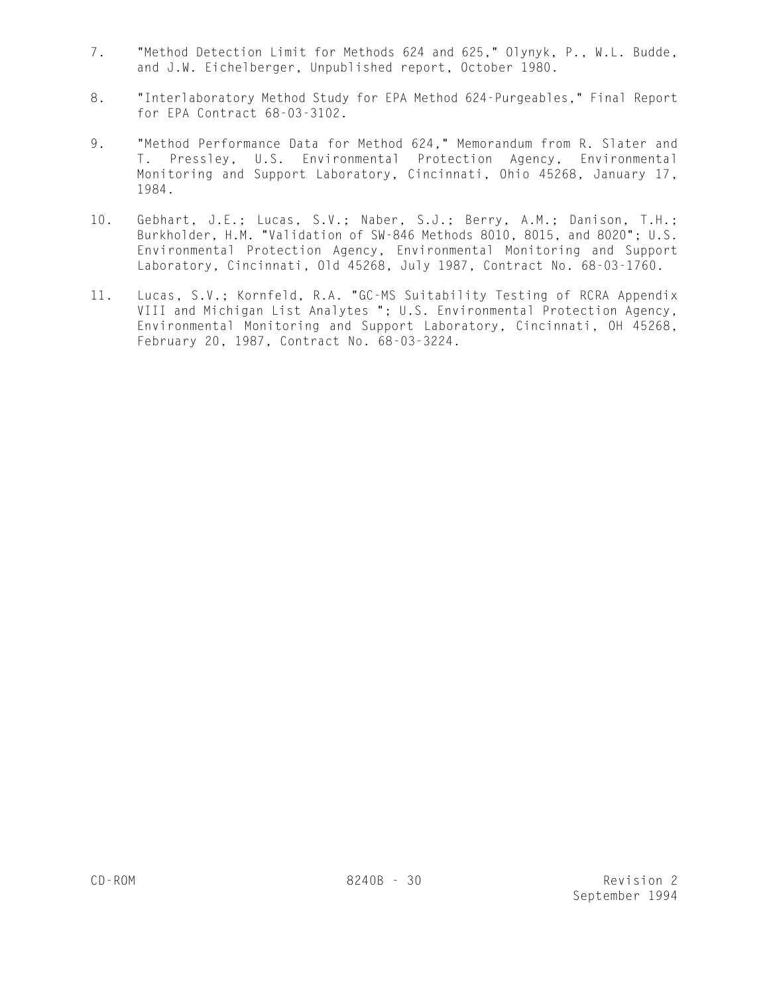- 7. "Method Detection Limit for Methods 624 and 625," Olynyk, P., W.L. Budde, and J.W. Eichelberger, Unpublished report, October 1980.
- 8. "Interlaboratory Method Study for EPA Method 624-Purgeables," Final Report for EPA Contract 68-03-3102.
- 9. "Method Performance Data for Method 624," Memorandum from R. Slater and T. Pressley, U.S. Environmental Protection Agency, Environmental Monitoring and Support Laboratory, Cincinnati, Ohio 45268, January 17, 1984.
- 10. Gebhart, J.E.; Lucas, S.V.; Naber, S.J.; Berry, A.M.; Danison, T.H.; Burkholder, H.M. "Validation of SW-846 Methods 8010, 8015, and 8020"; U.S. Environmental Protection Agency, Environmental Monitoring and Support Laboratory, Cincinnati, Old 45268, July 1987, Contract No. 68-03-1760.
- 11. Lucas, S.V.; Kornfeld, R.A. "GC-MS Suitability Testing of RCRA Appendix VIII and Michigan List Analytes "; U.S. Environmental Protection Agency, Environmental Monitoring and Support Laboratory, Cincinnati, OH 45268, February 20, 1987, Contract No. 68-03-3224.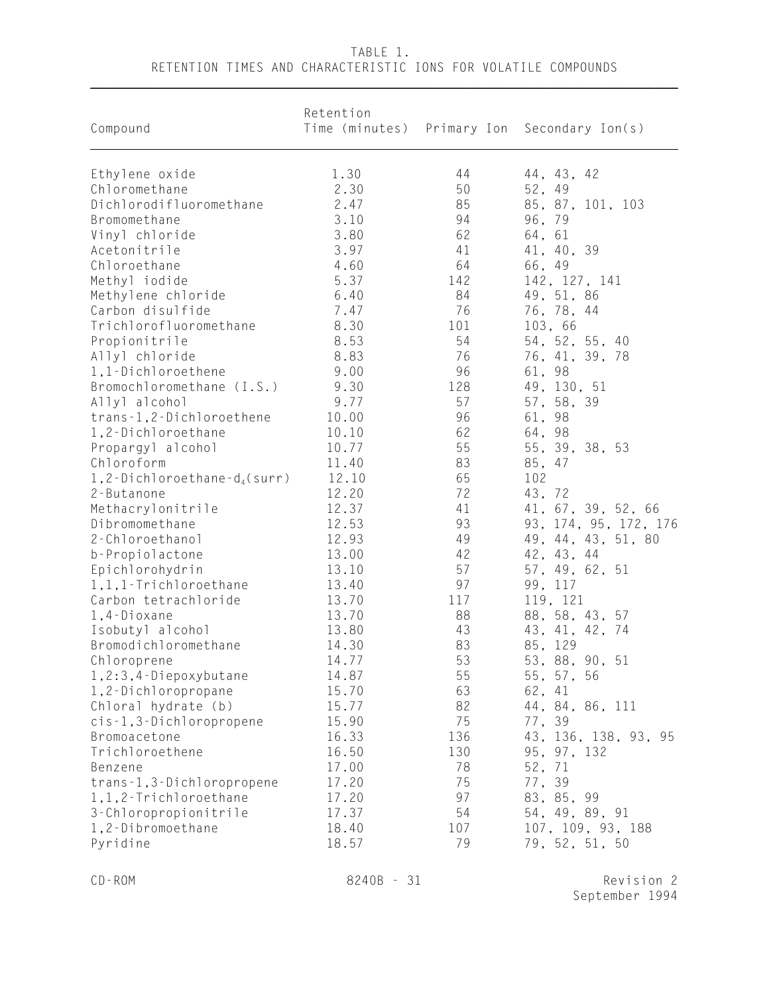| Compound                                               | Retention |     | Time (minutes) Primary Ion Secondary Ion(s) |
|--------------------------------------------------------|-----------|-----|---------------------------------------------|
| Ethylene oxide                                         | 1.30      | 44  | 44, 43, 42                                  |
| Chloromethane                                          | 2.30      | 50  | 52, 49                                      |
| Dichlorodifluoromethane                                | 2.47      | 85  | 85, 87, 101, 103                            |
| Bromomethane                                           | 3.10      | 94  | 96, 79                                      |
| Vinyl chloride                                         | 3.80      | 62  | 64, 61                                      |
| Acetonitrile                                           | 3.97      | 41  | 41, 40, 39                                  |
| Chloroethane                                           | 4.60      | 64  | 66, 49                                      |
| Methyl iodide                                          | 5.37      | 142 | 142, 127, 141                               |
| Methylene chloride                                     | 6.40      | 84  | 49, 51, 86                                  |
| Carbon disulfide                                       | 7.47      | 76  | 76, 78, 44                                  |
| Trichlorofluoromethane                                 | 8.30      | 101 | 103, 66                                     |
| Propionitrile                                          | 8.53      | 54  | 54, 52, 55, 40                              |
| Allyl chloride                                         | 8.83      | 76  | 76, 41, 39, 78                              |
| 1,1-Dichloroethene                                     | 9.00      | 96  | 61, 98                                      |
| Bromochloromethane (I.S.)                              | 9.30      | 128 | 49, 130, 51                                 |
| Allyl alcohol                                          | 9.77      | 57  | 57, 58, 39                                  |
| trans-1,2-Dichloroethene                               | 10.00     | 96  | 61, 98                                      |
| 1,2-Dichloroethane                                     | 10.10     | 62  | 64, 98                                      |
| Propargyl alcohol                                      | 10.77     | 55  | 55, 39, 38, 53                              |
| Chloroform                                             | 11.40     | 83  | 85, 47                                      |
|                                                        | 12.10     | 65  | 102                                         |
| 1,2-Dichloroethane-d <sub>4</sub> (surr)<br>2-Butanone | 12.20     | 72  | 43, 72                                      |
| Methacrylonitrile                                      | 12.37     | 41  |                                             |
| Dibromomethane                                         |           | 93  | 41, 67, 39, 52, 66                          |
|                                                        | 12.53     | 49  | 93, 174, 95, 172, 176                       |
| 2-Chloroethanol                                        | 12.93     | 42  | 49, 44, 43, 51, 80                          |
| b-Propiolactone                                        | 13.00     |     | 42, 43, 44                                  |
| Epichlorohydrin                                        | 13.10     | 57  | 57, 49, 62, 51                              |
| 1,1,1-Trichloroethane                                  | 13.40     | 97  | 99, 117                                     |
| Carbon tetrachloride                                   | 13.70     | 117 | 119, 121                                    |
| 1,4-Dioxane                                            | 13.70     | 88  | 88, 58, 43, 57                              |
| Isobutyl alcohol                                       | 13.80     | 43  | 43, 41, 42, 74                              |
| Bromodichloromethane                                   | 14.30     | 83  | 85, 129                                     |
| Chloroprene                                            | 14.77     | 53  | 53, 88, 90, 51                              |
| $1, 2: 3, 4$ -Diepoxybutane                            | 14.87     | 55  | 55, 57, 56                                  |
| 1,2-Dichloropropane                                    | 15.70     | 63  | 62, 41                                      |
| Chloral hydrate (b)                                    | 15.77     | 82  | 44, 84, 86, 111                             |
| cis-1,3-Dichloropropene                                | 15.90     | 75  | 77, 39                                      |
| Bromoacetone                                           | 16.33     | 136 | 43, 136, 138, 93, 95                        |
| Trichloroethene                                        | 16.50     | 130 | 95, 97, 132                                 |
| Benzene                                                | 17.00     | 78  | 52, 71                                      |
| trans-1,3-Dichloropropene                              | 17.20     | 75  | 77, 39                                      |
| 1,1,2-Trichloroethane                                  | 17.20     | 97  | 83, 85, 99                                  |
| 3-Chloropropionitrile                                  | 17.37     | 54  | 54, 49, 89, 91                              |
| 1,2-Dibromoethane                                      | 18.40     | 107 | 107, 109, 93, 188                           |
| Pyridine                                               | 18.57     | 79  | 79, 52, 51, 50                              |
|                                                        |           |     |                                             |

|  | TABLE 1.                                                       |  |  |
|--|----------------------------------------------------------------|--|--|
|  | RETENTION TIMES AND CHARACTERISTIC IONS FOR VOLATILE COMPOUNDS |  |  |

\_\_\_\_\_\_\_\_\_\_\_\_\_\_\_\_\_\_\_\_\_\_\_\_\_\_\_\_\_\_\_\_\_\_\_\_\_\_\_\_\_\_\_\_\_\_\_\_\_\_\_\_\_\_\_\_\_\_\_\_\_\_\_\_\_\_\_\_\_\_\_\_\_\_\_\_\_\_\_

CD-ROM 8240B - 31 Revision 2 September 1994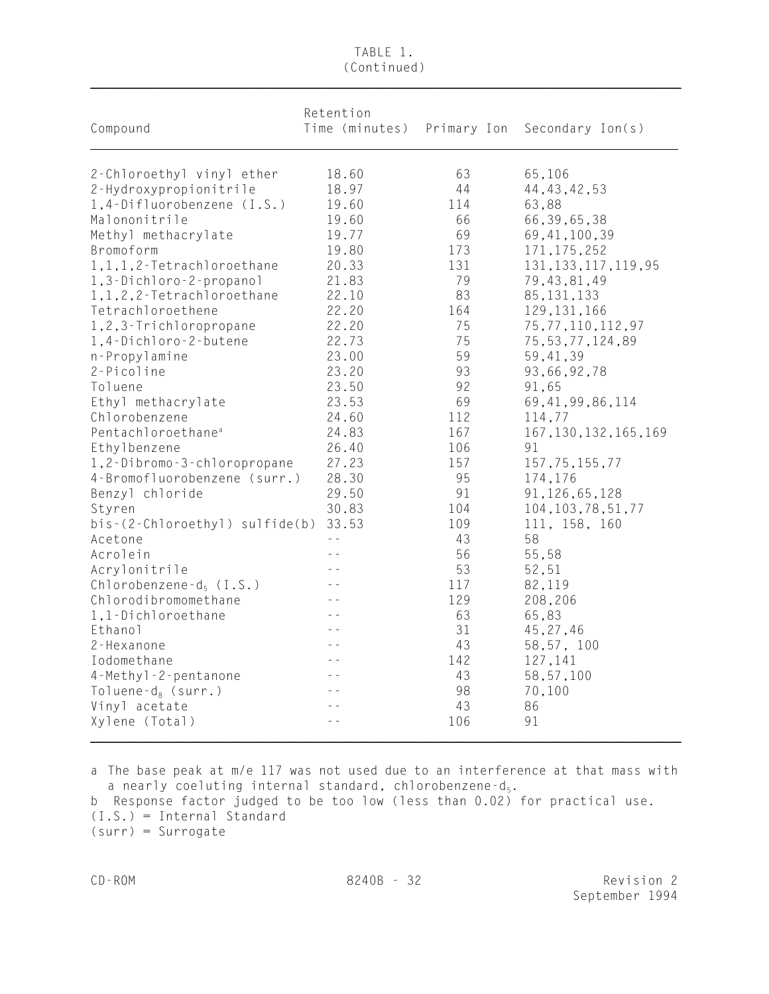| Compound                       | Retention<br>Time (minutes) |     | Primary Ion Secondary Ion(s) |
|--------------------------------|-----------------------------|-----|------------------------------|
| 2-Chloroethyl vinyl ether      | 18.60                       | 63  | 65,106                       |
| 2-Hydroxypropionitrile         | 18.97                       | 44  | 44, 43, 42, 53               |
| 1,4-Difluorobenzene (I.S.)     | 19.60                       | 114 | 63,88                        |
| Malononitrile                  | 19.60                       | 66  | 66, 39, 65, 38               |
| Methyl methacrylate            | 19.77                       | 69  | 69, 41, 100, 39              |
| Bromoform                      | 19.80                       | 173 | 171, 175, 252                |
| 1, 1, 1, 2-Tetrachloroethane   | 20.33                       | 131 | 131, 133, 117, 119, 95       |
| 1,3-Dichloro-2-propanol        | 21.83                       | 79  | 79,43,81,49                  |
| 1, 1, 2, 2-Tetrachloroethane   | 22.10                       | 83  | 85, 131, 133                 |
| Tetrachloroethene              | 22.20                       | 164 | 129, 131, 166                |
| 1,2,3-Trichloropropane         | 22.20                       | 75  | 75, 77, 110, 112, 97         |
| 1,4-Dichloro-2-butene          | 22.73                       | 75  | 75, 53, 77, 124, 89          |
| n-Propylamine                  | 23.00                       | 59  | 59,41,39                     |
| 2-Picoline                     | 23.20                       | 93  | 93,66,92,78                  |
| Toluene                        | 23.50                       | 92  | 91,65                        |
| Ethyl methacrylate             | 23.53                       | 69  | 69, 41, 99, 86, 114          |
| Chlorobenzene                  | 24.60                       | 112 | 114,77                       |
| Pentachloroethane <sup>a</sup> | 24.83                       | 167 | 167, 130, 132, 165, 169      |
| Ethylbenzene                   | 26.40                       | 106 | 91                           |
| 1,2-Dibromo-3-chloropropane    | 27.23                       | 157 | 157, 75, 155, 77             |
| 4-Bromofluorobenzene (surr.)   | 28.30                       | 95  | 174,176                      |
| Benzyl chloride                | 29.50                       | 91  | 91, 126, 65, 128             |
| Styren                         | 30.83                       | 104 | 104, 103, 78, 51, 77         |
| bis-(2-Chloroethyl) sulfide(b) | 33.53                       | 109 | 111, 158, 160                |
| Acetone                        |                             | 43  | 58                           |
| Acrolein                       |                             | 56  | 55,58                        |
| Acrylonitrile                  |                             | 53  | 52,51                        |
| Chlorobenzene- $d_5$ (I.S.)    |                             | 117 | 82,119                       |
| Chlorodibromomethane           |                             | 129 | 208,206                      |
| 1,1-Dichloroethane             |                             | 63  | 65,83                        |
| Ethanol                        |                             | 31  | 45,27,46                     |
| 2-Hexanone                     |                             | 43  | 58,57, 100                   |
| Iodomethane                    |                             | 142 | 127,141                      |
| 4-Methyl-2-pentanone           |                             | 43  | 58,57,100                    |
| Toluene- $d_g$ (surr.)         |                             | 98  | 70,100                       |
| Vinyl acetate                  |                             | 43  | 86                           |
| Xylene (Total)                 | $ -$                        | 106 | 91                           |

TABLE 1. (Continued)

a The base peak at m/e 117 was not used due to an interference at that mass with a nearly coeluting internal standard, chlorobenzene-d $_5$ . b Response factor judged to be too low (less than 0.02) for practical use. (I.S.) = Internal Standard (surr) = Surrogate

 $\mathcal{L}_\mathcal{L} = \{ \mathcal{L}_\mathcal{L} = \{ \mathcal{L}_\mathcal{L} = \{ \mathcal{L}_\mathcal{L} = \{ \mathcal{L}_\mathcal{L} = \{ \mathcal{L}_\mathcal{L} = \{ \mathcal{L}_\mathcal{L} = \{ \mathcal{L}_\mathcal{L} = \{ \mathcal{L}_\mathcal{L} = \{ \mathcal{L}_\mathcal{L} = \{ \mathcal{L}_\mathcal{L} = \{ \mathcal{L}_\mathcal{L} = \{ \mathcal{L}_\mathcal{L} = \{ \mathcal{L}_\mathcal{L} = \{ \mathcal{L}_\mathcal{$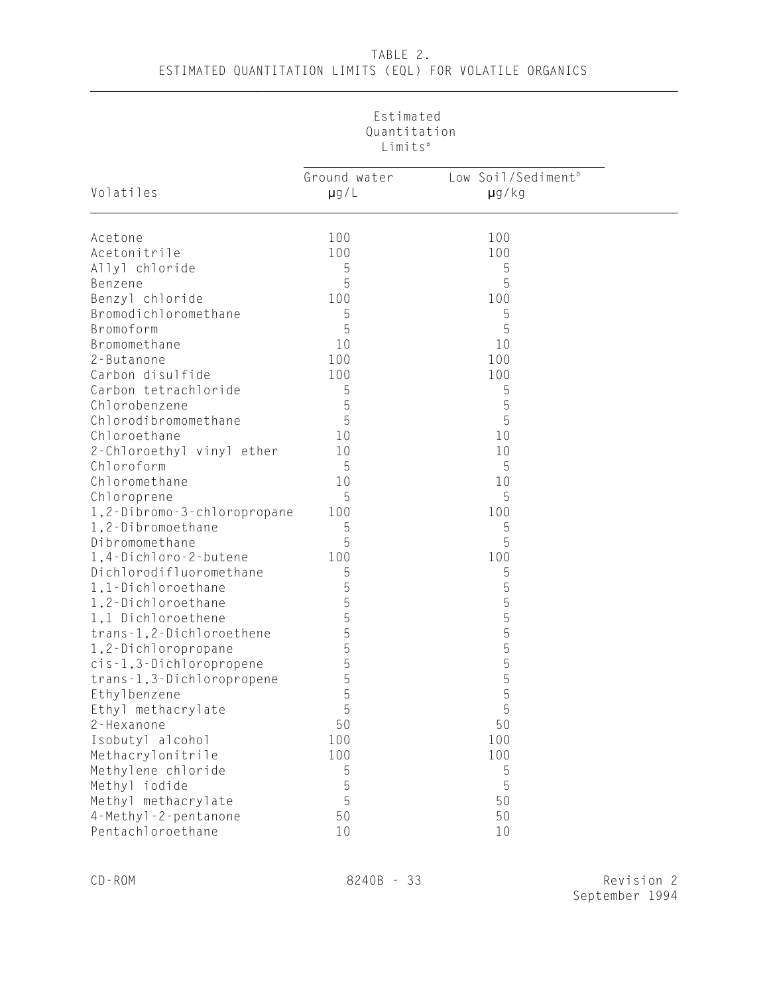# TABLE 2. ESTIMATED QUANTITATION LIMITS (EQL) FOR VOLATILE ORGANICS

 $\_$  . The contribution of the contribution of the contribution of the contribution of  $\mathcal{L}_\mathcal{A}$ 

|                             | Estimated<br>Quantitation<br>Limits <sup>a</sup> |                                              |  |
|-----------------------------|--------------------------------------------------|----------------------------------------------|--|
| Volatiles                   | Ground water<br>$\mu$ g/L                        | Low Soil/Sediment <sup>b</sup><br>$\mu$ g/kg |  |
| Acetone                     | 100                                              | 100                                          |  |
| Acetonitrile                | 100                                              | 100                                          |  |
| Allyl chloride              | 5                                                | 5                                            |  |
| Benzene                     | 5                                                | 5                                            |  |
| Benzyl chloride             | 100                                              | 100                                          |  |
| Bromodichloromethane        | 5                                                | 5                                            |  |
| Bromoform                   | 5                                                | 5                                            |  |
| Bromomethane                | 10                                               | 10                                           |  |
| 2-Butanone                  | 100                                              | 100                                          |  |
| Carbon disulfide            | 100                                              | 100                                          |  |
| Carbon tetrachloride        | 5                                                | 5                                            |  |
| Chlorobenzene               | 5                                                | 5                                            |  |
| Chlorodibromomethane        | 5                                                | 5                                            |  |
| Chloroethane                | 10                                               | 10                                           |  |
| 2-Chloroethyl vinyl ether   | 10                                               | 10                                           |  |
| Chloroform                  | 5                                                | 5                                            |  |
| Chloromethane               | 10                                               | 10                                           |  |
| Chloroprene                 | 5                                                | 5                                            |  |
| 1,2-Dibromo-3-chloropropane | 100                                              | 100                                          |  |
| 1,2-Dibromoethane           | 5                                                | 5                                            |  |
| Dibromomethane              | 5                                                | 5                                            |  |
| 1,4-Dichloro-2-butene       | 100                                              | 100                                          |  |
| Dichlorodifluoromethane     | 5                                                | 5                                            |  |
| 1,1-Dichloroethane          | 5                                                | 5                                            |  |
| 1,2-Dichloroethane          | 5                                                | 5                                            |  |
| 1,1 Dichloroethene          | 5                                                | 5                                            |  |
| trans-1,2-Dichloroethene    | 5                                                | 5                                            |  |
| 1,2-Dichloropropane         | 5                                                | 5                                            |  |
| cis-1,3-Dichloropropene     | 5                                                | 5                                            |  |
| trans-1,3-Dichloropropene   | 5                                                | 5                                            |  |
| Ethylbenzene                | 5                                                | 5                                            |  |
| Ethyl methacrylate          | 5                                                | 5                                            |  |
| 2-Hexanone                  | 50                                               | 50                                           |  |
| Isobutyl alcohol            | 100                                              | 100                                          |  |
| Methacrylonitrile           | 100                                              | 100                                          |  |
| Methylene chloride          | 5                                                | 5                                            |  |
| Methyl iodide               | 5                                                | 5                                            |  |
| Methyl methacrylate         | 5                                                | 50                                           |  |
| 4-Methyl-2-pentanone        | 50                                               | $50$                                         |  |
| Pentachloroethane           | 10                                               | 10                                           |  |

CD-ROM 8240B - 33 Revision 2 September 1994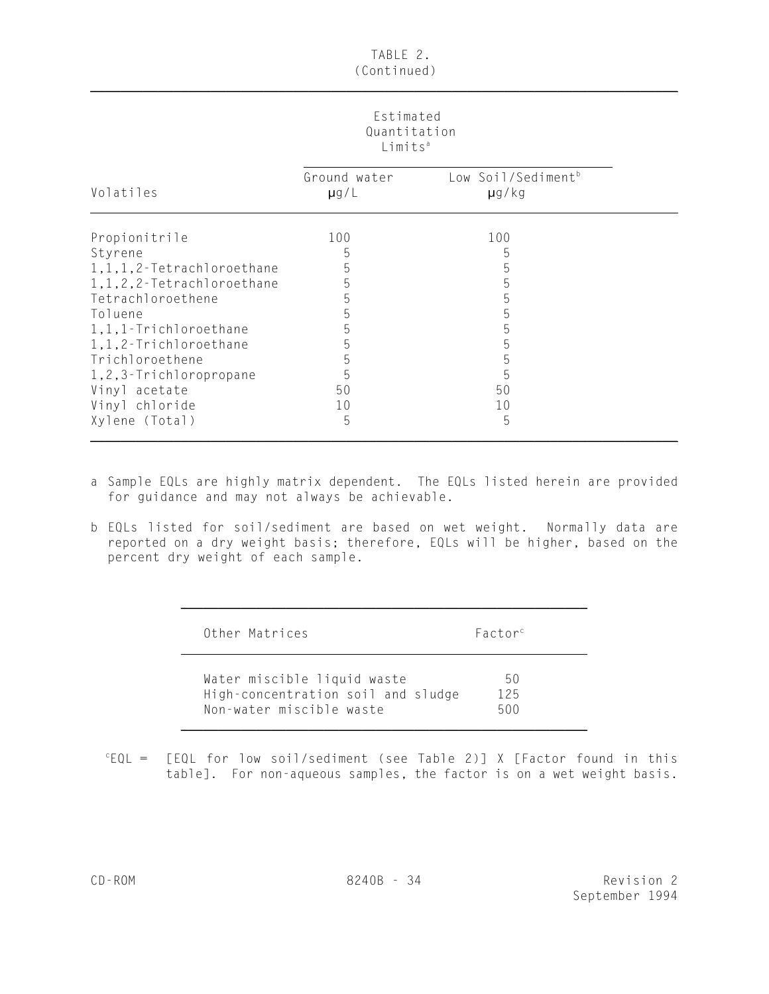| TABLE 2.<br>(Continued)      |                                                  |                                              |  |  |
|------------------------------|--------------------------------------------------|----------------------------------------------|--|--|
|                              | Estimated<br>Quantitation<br>Limits <sup>a</sup> |                                              |  |  |
| Volatiles                    | Ground water<br>$\mu$ g/L                        | Low Soil/Sediment <sup>b</sup><br>$\mu$ g/kg |  |  |
| Propionitrile                | 100                                              | 100                                          |  |  |
| Styrene                      | 5                                                | 5                                            |  |  |
| 1, 1, 1, 2-Tetrachloroethane | 5                                                | 5                                            |  |  |
| 1, 1, 2, 2-Tetrachloroethane | 5                                                | 5                                            |  |  |
| Tetrachloroethene            | 5                                                | 5                                            |  |  |
| Toluene                      | 5                                                | 5                                            |  |  |
| 1,1,1-Trichloroethane        | 5                                                | 5                                            |  |  |
| 1,1,2-Trichloroethane        | 5                                                | 5                                            |  |  |
| Trichloroethene              | 5                                                | 5                                            |  |  |
| 1,2,3-Trichloropropane       | 5                                                | 5                                            |  |  |
| Vinyl acetate                | 50                                               | 50                                           |  |  |
| Vinyl chloride               | 10                                               | 10                                           |  |  |
| Xylene (Total)               | 5                                                | 5                                            |  |  |

- a Sample EQLs are highly matrix dependent. The EQLs listed herein are provided for guidance and may not always be achievable.
- b EQLs listed for soil/sediment are based on wet weight. Normally data are reported on a dry weight basis; therefore, EQLs will be higher, based on the percent dry weight of each sample.

| Other Matrices                     | Factor <sup>c</sup> |
|------------------------------------|---------------------|
| Water miscible liquid waste        | 50                  |
| High-concentration soil and sludge | 125                 |
| Non-water miscible waste           | 500                 |

EQL = [EQL for low soil/sediment (see Table 2)] X [Factor found in this table]. For non-aqueous samples, the factor is on a wet weight basis.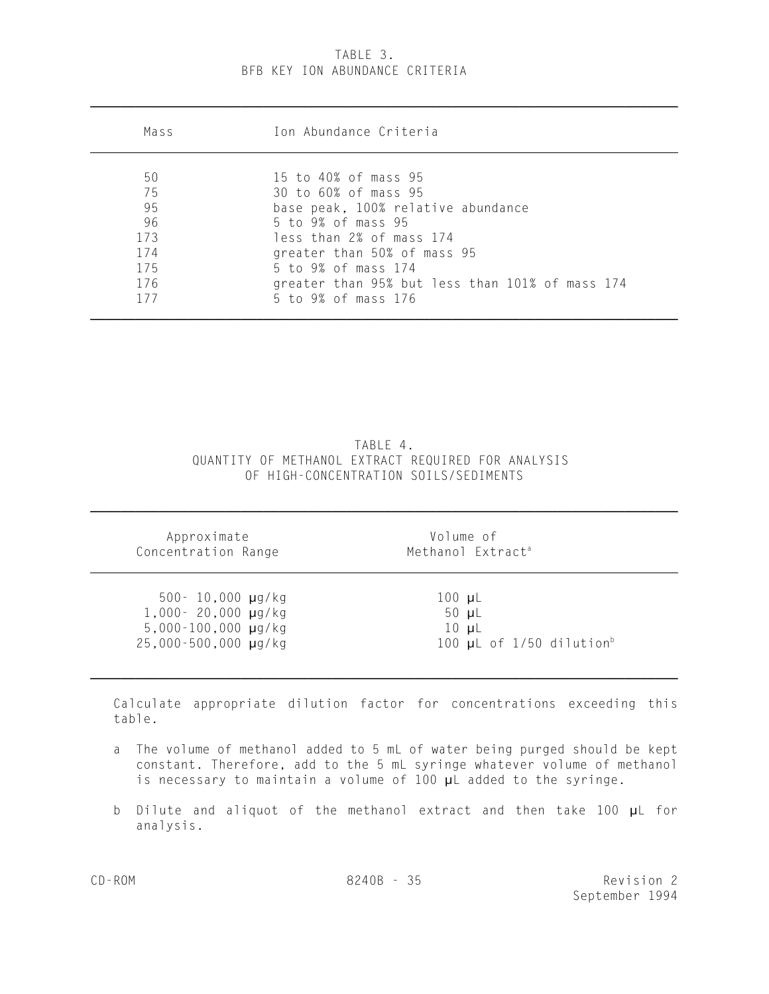## TABLE 3. BFB KEY ION ABUNDANCE CRITERIA

| Mass                                                    | Ton Abundance Criteria                                                                                                                                                                                                                                               |
|---------------------------------------------------------|----------------------------------------------------------------------------------------------------------------------------------------------------------------------------------------------------------------------------------------------------------------------|
| 50<br>75<br>95<br>96<br>173<br>174<br>175<br>176<br>177 | 15 to 40% of mass 95<br>30 to 60% of mass 95<br>base peak, 100% relative abundance<br>5 to 9% of mass 95<br>less than 2% of mass 174<br>greater than 50% of mass 95<br>5 to 9% of mass 174<br>greater than 95% but less than 101% of mass 174<br>5 to 9% of mass 176 |
|                                                         |                                                                                                                                                                                                                                                                      |

\_\_\_\_\_\_\_\_\_\_\_\_\_\_\_\_\_\_\_\_\_\_\_\_\_\_\_\_\_\_\_\_\_\_\_\_\_\_\_\_\_\_\_\_\_\_\_\_\_\_\_\_\_\_\_\_\_\_\_\_\_\_\_\_\_\_\_\_\_\_\_\_\_\_\_\_\_\_

TABLE 4. QUANTITY OF METHANOL EXTRACT REQUIRED FOR ANALYSIS OF HIGH-CONCENTRATION SOILS/SEDIMENTS

\_\_\_\_\_\_\_\_\_\_\_\_\_\_\_\_\_\_\_\_\_\_\_\_\_\_\_\_\_\_\_\_\_\_\_\_\_\_\_\_\_\_\_\_\_\_\_\_\_\_\_\_\_\_\_\_\_\_\_\_\_\_\_\_\_\_\_\_\_\_\_\_\_\_\_\_\_\_

| Approximate                      | Volume of                                 |
|----------------------------------|-------------------------------------------|
| Concentration Range              | Methanol Extract <sup>a</sup>             |
| 500- 10,000 $\mu$ g/kg           | $100 \text{ }\mu\text{L}$                 |
| $1,000 - 20,000 \text{ µg/kg}$   | $50 \mu L$                                |
| $5,000-100,000 \text{ µg/kg}$    | $10 \mu L$                                |
| $25,000 - 500,000 \text{ µq/kg}$ | 100 $\mu$ L of 1/50 dilution <sup>b</sup> |

Calculate appropriate dilution factor for concentrations exceeding this table.

- a The volume of methanol added to 5 mL of water being purged should be kept constant. Therefore, add to the 5 mL syringe whatever volume of methanol is necessary to maintain a volume of 100 µL added to the syringe.
- b Dilute and aliquot of the methanol extract and then take 100 µL for analysis.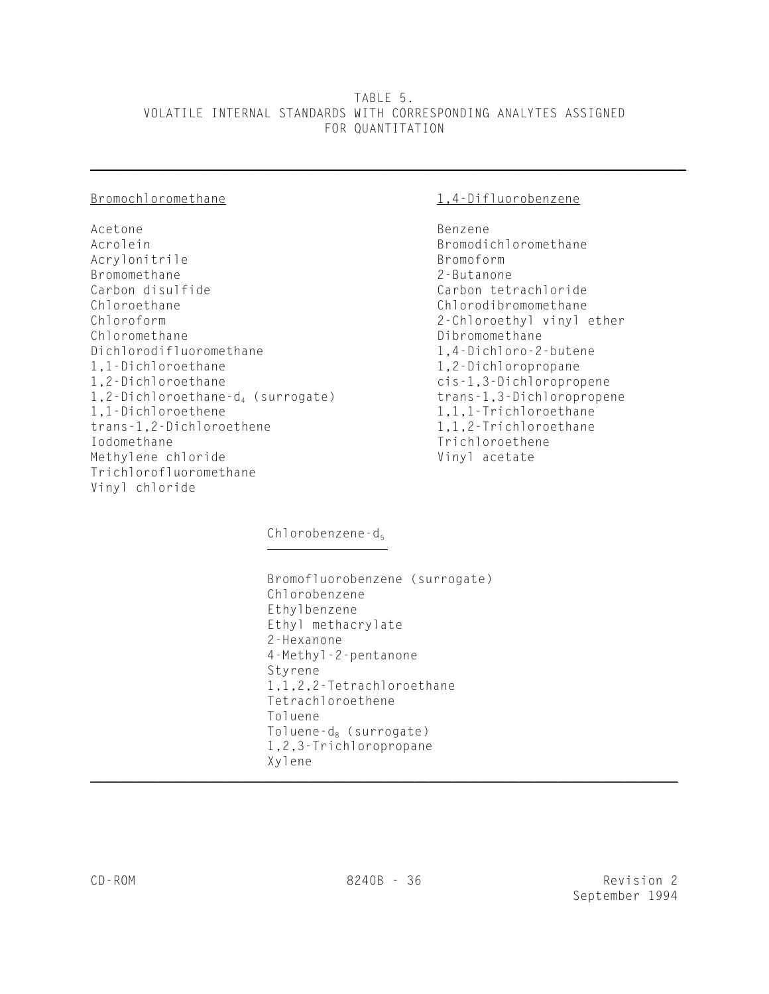TABLE 5. VOLATILE INTERNAL STANDARDS WITH CORRESPONDING ANALYTES ASSIGNED FOR QUANTITATION

 $\overline{\phantom{a}}$  , and the contract of the contract of the contract of the contract of the contract of the contract of the contract of the contract of the contract of the contract of the contract of the contract of the contrac

Acetone Benzene Acrolein Bromodichloromethane Acrylonitrile Bromoform Bromomethane 2-Butanone Carbon disulfide Carbon tetrachloride Chloroethane Chlorodibromomethane Chloroform 2-Chloroethyl vinyl ether Chloromethane Dibromomethane Dichlorodifluoromethane 1,4-Dichloro-2-butene 1,1-Dichloroethane 1,2-Dichloropropane 1,2-Dichloroethane cis-1,3-Dichloropropene 1,2-Dichloroethane-d<sub>4</sub> (surrogate) trans-1,3-Dichloropropene<br>1,1-Dichloroethene 1,1-Trichloroethane trans-1,2-Dichloroethene<br>Iodomethane Methylene chloride view vinyl acetate Trichlorofluoromethane Vinyl chloride

## Bromochloromethane 1,4-Difluorobenzene

1,1-Dichloroethene 1,1,1-Trichloroethane Trichloroethene

Chlorobenzene-d<sub>5</sub>

Bromofluorobenzene (surrogate) Chlorobenzene Ethylbenzene Ethyl methacrylate 2-Hexanone 4-Methyl-2-pentanone Styrene 1,1,2,2-Tetrachloroethane Tetrachloroethene Toluene Toluene-d $_8$  (surrogate) 1,2,3-Trichloropropane Xylene

\_\_\_\_\_\_\_\_\_\_\_\_\_\_\_\_\_\_\_\_\_\_\_\_\_\_\_\_\_\_\_\_\_\_\_\_\_\_\_\_\_\_\_\_\_\_\_\_\_\_\_\_\_\_\_\_\_\_\_\_\_\_\_\_\_\_\_\_\_\_\_\_\_\_\_\_\_\_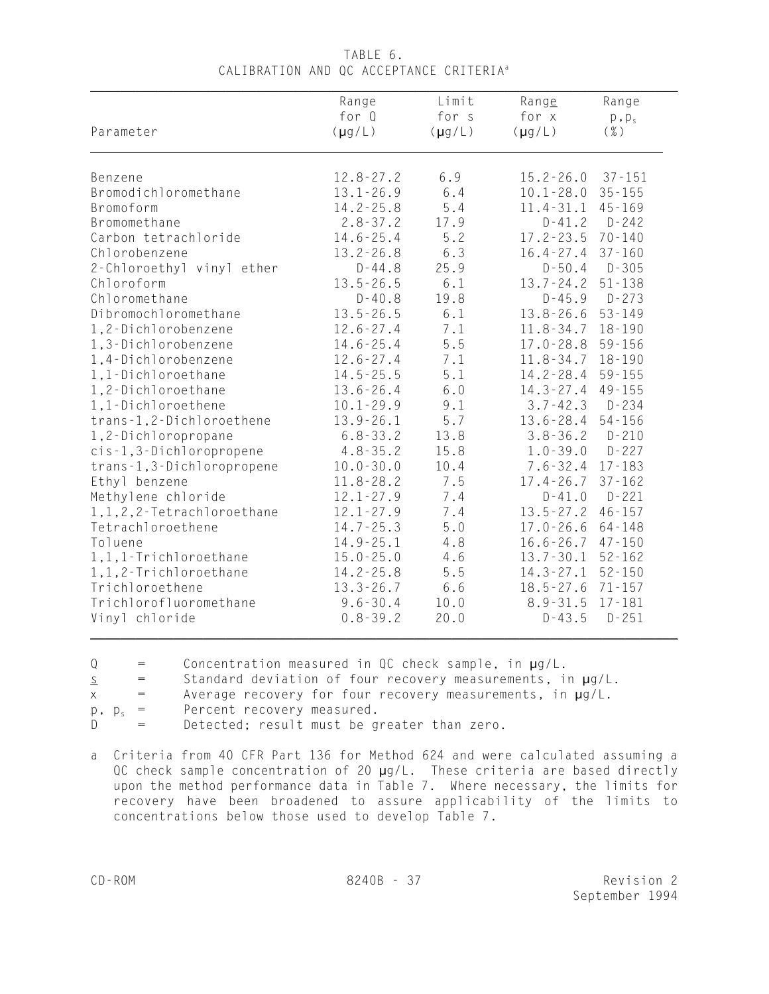| Parameter                    | Range<br>for Q<br>$(\mu g/L)$ | Limit<br>for s<br>$(\mu g/L)$ | Range<br>for x<br>$(\mu g/L)$ | Range<br>$p$ , $p_s$<br>$(\% )$ |
|------------------------------|-------------------------------|-------------------------------|-------------------------------|---------------------------------|
|                              |                               |                               |                               |                                 |
| Benzene                      | $12.8 - 27.2$                 | 6.9                           | $15.2 - 26.0$                 | $37 - 151$                      |
| Bromodichloromethane         | $13.1 - 26.9$                 | 6.4                           | $10.1 - 28.0$                 | $35 - 155$                      |
| Bromoform                    | $14.2 - 25.8$                 | 5.4                           | $11.4 - 31.1$                 | $45 - 169$                      |
| Bromomethane                 | $2.8 - 37.2$                  | 17.9                          | $D - 41.2$                    | $D - 242$                       |
| Carbon tetrachloride         | $14.6 - 25.4$                 | 5.2                           | $17.2 - 23.5$                 | $70 - 140$                      |
| Chlorobenzene                | $13.2 - 26.8$                 | 6.3                           | $16.4 - 27.4$                 | $37 - 160$                      |
| 2-Chloroethyl vinyl ether    | $D - 44.8$                    | 25.9                          | $D - 50.4$                    | $D - 305$                       |
| Chloroform                   | $13.5 - 26.5$                 | 6.1                           | $13.7 - 24.2$                 | $51 - 138$                      |
| Chloromethane                | $D - 40.8$                    | 19.8                          | $D - 45.9$                    | $D - 273$                       |
| Dibromochloromethane         | $13.5 - 26.5$                 | 6.1                           | $13.8 - 26.6$                 | $53 - 149$                      |
| 1,2-Dichlorobenzene          | $12.6 - 27.4$                 | 7.1                           | $11.8 - 34.7$                 | $18 - 190$                      |
| 1,3-Dichlorobenzene          | $14.6 - 25.4$                 | 5.5                           | $17.0 - 28.8$                 | $59 - 156$                      |
| 1,4-Dichlorobenzene          | $12.6 - 27.4$                 | 7.1                           | $11.8 - 34.7$                 | $18 - 190$                      |
| 1,1-Dichloroethane           | $14.5 - 25.5$                 | 5.1                           | $14.2 - 28.4$                 | $59 - 155$                      |
| 1,2-Dichloroethane           | $13.6 - 26.4$                 | 6.0                           | $14.3 - 27.4$                 | $49 - 155$                      |
| 1,1-Dichloroethene           | $10.1 - 29.9$                 | 9.1                           | $3.7 - 42.3$                  | D-234                           |
| trans-1,2-Dichloroethene     | $13.9 - 26.1$                 | 5.7                           | $13.6 - 28.4$                 | $54 - 156$                      |
| 1,2-Dichloropropane          | $6.8 - 33.2$                  | 13.8                          | $3.8 - 36.2$                  | $D - 210$                       |
| cis-1,3-Dichloropropene      | $4.8 - 35.2$                  | 15.8                          | $1.0 - 39.0$                  | $D - 227$                       |
| trans-1,3-Dichloropropene    | $10.0 - 30.0$                 | 10.4                          | $7.6 - 32.4$                  | $17 - 183$                      |
| Ethyl benzene                | $11.8 - 28.2$                 | 7.5                           | $17.4 - 26.7$                 | $37 - 162$                      |
| Methylene chloride           | $12.1 - 27.9$                 | 7.4                           | $D - 41.0$                    | $D - 221$                       |
| 1, 1, 2, 2-Tetrachloroethane | $12.1 - 27.9$                 | 7.4                           | $13.5 - 27.2$                 | $46 - 157$                      |
| Tetrachloroethene            | $14.7 - 25.3$                 | $5.0$                         | $17.0 - 26.6$                 | $64 - 148$                      |
| Toluene                      | $14.9 - 25.1$                 | 4.8                           | $16.6 - 26.7$                 | $47 - 150$                      |
| 1,1,1-Trichloroethane        | $15.0 - 25.0$                 | 4.6                           | $13.7 - 30.1$                 | $52 - 162$                      |
| 1,1,2-Trichloroethane        | $14.2 - 25.8$                 | 5.5                           | $14.3 - 27.1$                 | $52 - 150$                      |
| Trichloroethene              | $13.3 - 26.7$                 | 6.6                           | $18.5 - 27.6$ 71-157          |                                 |
| Trichlorofluoromethane       | $9.6 - 30.4$                  | 10.0                          | 8.9-31.5 17-181               |                                 |
| Vinyl chloride               | $0.8 - 39.2$                  | 20.0                          | $D - 43.5$                    | $D - 251$                       |

 TABLE 6. CALIBRATION AND OC ACCEPTANCE CRITERIA<sup>a</sup>

 $Q =$  Concentration measured in QC check sample, in  $\mu g/L$ .

- $=$  Standard deviation of four recovery measurements, in  $\mu q/L$ .  $S$
- $x =$  Average recovery for four recovery measurements, in  $\mu$ g/L.
- $p, p_s =$  Percent recovery measured.<br>D = Detected: result must be q
- = Detected; result must be greater than zero.
- a Criteria from 40 CFR Part 136 for Method 624 and were calculated assuming a QC check sample concentration of 20 µg/L. These criteria are based directly upon the method performance data in Table 7. Where necessary, the limits for recovery have been broadened to assure applicability of the limits to concentrations below those used to develop Table 7.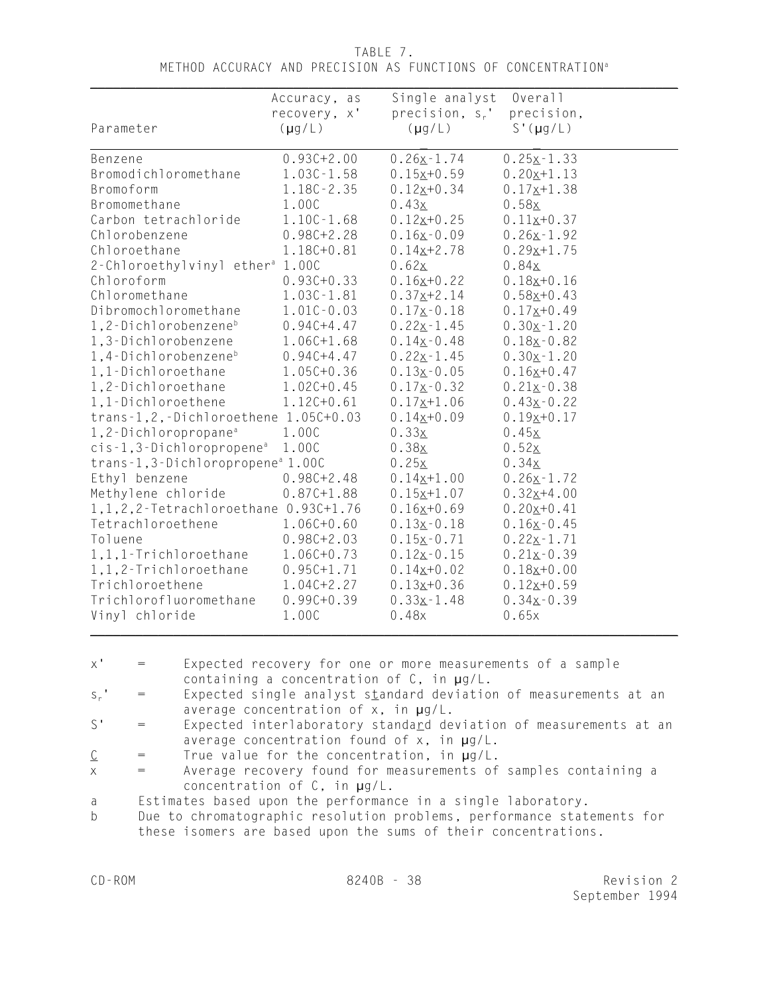TABLE 7.

METHOD ACCURACY AND PRECISION AS FUNCTIONS OF CONCENTRATION<sup>a</sup>

|                                              | Accuracy, as<br>recovery, x' | Single analyst<br>precision, s,' | Overall<br>precision, |
|----------------------------------------------|------------------------------|----------------------------------|-----------------------|
| Parameter                                    | $(\mu g/L)$                  | $(\mu g/L)$                      | $S'(\mu g/L)$         |
| Benzene                                      | $0.93C + 2.00$               | $0.26x - 1.74$                   | $0.25x-1.33$          |
| Bromodichloromethane                         | $1.03C - 1.58$               | $0.15x+0.59$                     | $0.20x+1.13$          |
| Bromoform                                    | 1.18C-2.35                   | $0.12x+0.34$                     | $0.17x+1.38$          |
| Bromomethane                                 | 1.000                        | 0.43x                            | 0.58x                 |
| Carbon tetrachloride                         | $1.10C - 1.68$               | $0.12x+0.25$                     | $0.11x+0.37$          |
| Chlorobenzene                                | $0.98C + 2.28$               | $0.16x - 0.09$                   | $0.26x - 1.92$        |
| Chloroethane                                 | 1.18C+0.81                   | $0.14x + 2.78$                   | $0.29x+1.75$          |
| 2-Chloroethylvinyl ether <sup>a</sup> 1.00C  |                              | 0.62x                            | 0.84x                 |
| Chloroform                                   | $0.93C + 0.33$               | $0.16x+0.22$                     | $0.18x+0.16$          |
| Chloromethane                                | $1.03C - 1.81$               | $0.37x + 2.14$                   | $0.58x+0.43$          |
| Dibromochloromethane                         | $1.01C - 0.03$               | $0.17X - 0.18$                   | $0.17x+0.49$          |
| 1,2-Dichlorobenzene <sup>b</sup>             | $0.94C + 4.47$               | $0.22x - 1.45$                   | $0.30x - 1.20$        |
| 1,3-Dichlorobenzene                          | $1.06C+1.68$                 | $0.14x - 0.48$                   | $0.18x - 0.82$        |
| $1, 4$ -Dichlorobenzene <sup>b</sup>         | $0.94C + 4.47$               | $0.22x - 1.45$                   | $0.30x - 1.20$        |
| 1,1-Dichloroethane                           | $1.05C + 0.36$               | $0.13x-0.05$                     | $0.16x+0.47$          |
| 1,2-Dichloroethane                           | $1.02C + 0.45$               | $0.17x - 0.32$                   | $0.21x - 0.38$        |
| 1,1-Dichloroethene                           | $1.12C + 0.61$               | $0.17x+1.06$                     | $0.43x - 0.22$        |
| trans-1,2,-Dichloroethene $1.05C+0.03$       |                              | $0.14x+0.09$                     | $0.19x+0.17$          |
| 1,2-Dichloropropane <sup>a</sup>             | 1.000                        | 0.33x                            | 0.45x                 |
| cis-1,3-Dichloropropene <sup>a</sup>         | 1.000                        | 0.38x                            | 0.52x                 |
| trans-1,3-Dichloropropene <sup>a</sup> 1.00C |                              | 0.25x                            | 0.34x                 |
| Ethyl benzene                                | $0.98C + 2.48$               | $0.14x+1.00$                     | $0.26x - 1.72$        |
| Methylene chloride                           | $0.87C + 1.88$               | $0.15x+1.07$                     | $0.32x+4.00$          |
| 1, 1, 2, 2-Tetrachloroethane 0.93C+1.76      |                              | $0.16x+0.69$                     | $0.20 \times 10.41$   |
| Tetrachloroethene                            | $1.06C + 0.60$               | $0.13x - 0.18$                   | $0.16x - 0.45$        |
| Toluene                                      | $0.98C + 2.03$               | $0.15x - 0.71$                   | $0.22x - 1.71$        |
| 1,1,1-Trichloroethane                        | $1.06C + 0.73$               | $0.12x - 0.15$                   | $0.21x - 0.39$        |
| 1,1,2-Trichloroethane                        | $0.95C+1.71$                 | $0.14x+0.02$                     | $0.18x+0.00$          |
| Trichloroethene                              | 1.04C+2.27                   | $0.13x+0.36$                     | $0.12x+0.59$          |
| Trichlorofluoromethane                       | $0.99C + 0.39$               | $0.33x - 1.48$                   | $0.34x - 0.39$        |
| Vinyl chloride                               | 1.000                        | 0.48x                            | 0.65x                 |

x' = Expected recovery for one or more measurements of a sample containing a concentration of C, in µg/L.

s<sub>r</sub>' = Expected single analyst s<u>t</u>andard deviation of measurements at an average concentration of x, in µg/L.

- S'  $=$  Expected interlaboratory standa<u>r</u>d deviation of measurements at an average concentration found of x, in µg/L.
- True value for the concentration, in  $\mu$ g/L.  $\underline{\mathbb{C}}$
- x = Average recovery found for measurements of samples containing a concentration of C, in µg/L.
- a Estimates based upon the performance in a single laboratory.
- b Due to chromatographic resolution problems, performance statements for these isomers are based upon the sums of their concentrations.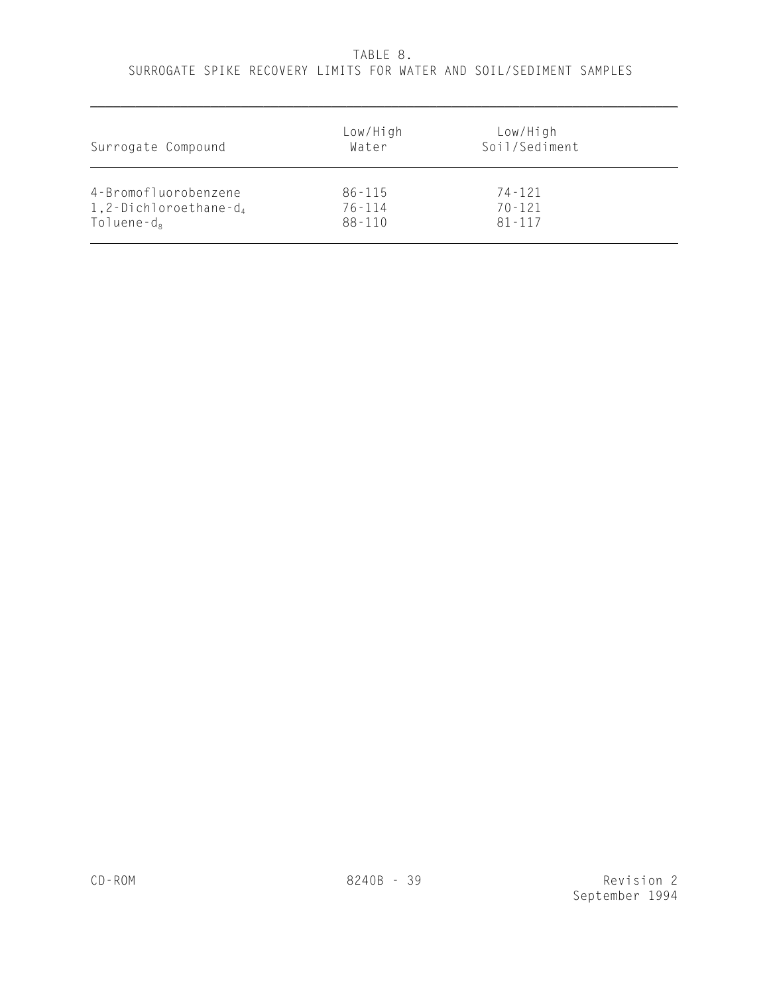# TABLE 8. SURROGATE SPIKE RECOVERY LIMITS FOR WATER AND SOIL/SEDIMENT SAMPLES

| Surrogate Compound                    | Low/High<br>Water | Low/High<br>Soil/Sediment |  |
|---------------------------------------|-------------------|---------------------------|--|
| 4-Bromofluorobenzene                  | $86 - 115$        | $74 - 121$                |  |
| $1, 2$ -Dichloroethane-d <sub>4</sub> | $76 - 114$        | $70 - 121$                |  |
| $T$ oluene-d <sub>a</sub>             | $88 - 110$        | $81 - 117$                |  |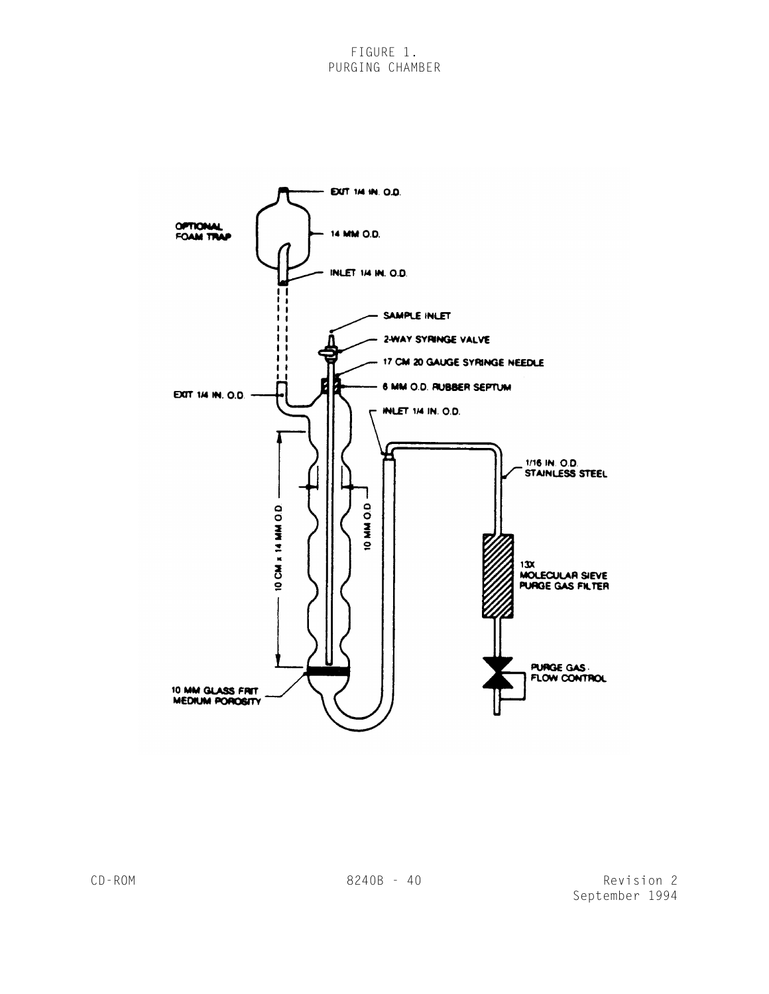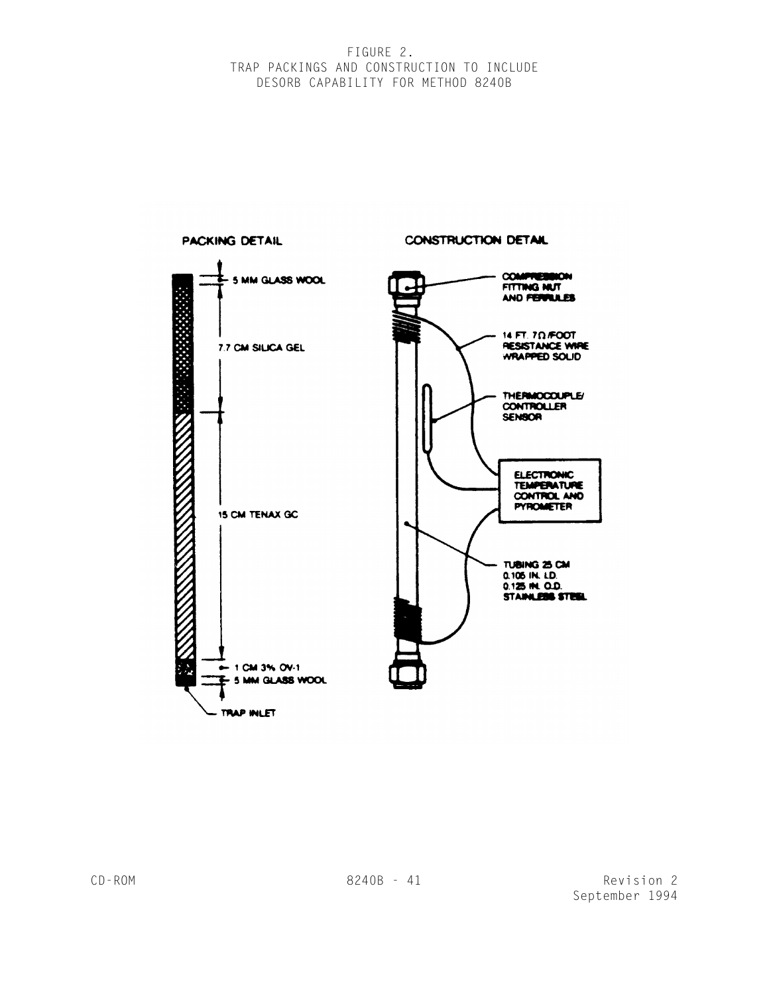## FIGURE 2. TRAP PACKINGS AND CONSTRUCTION TO INCLUDE DESORB CAPABILITY FOR METHOD 8240B

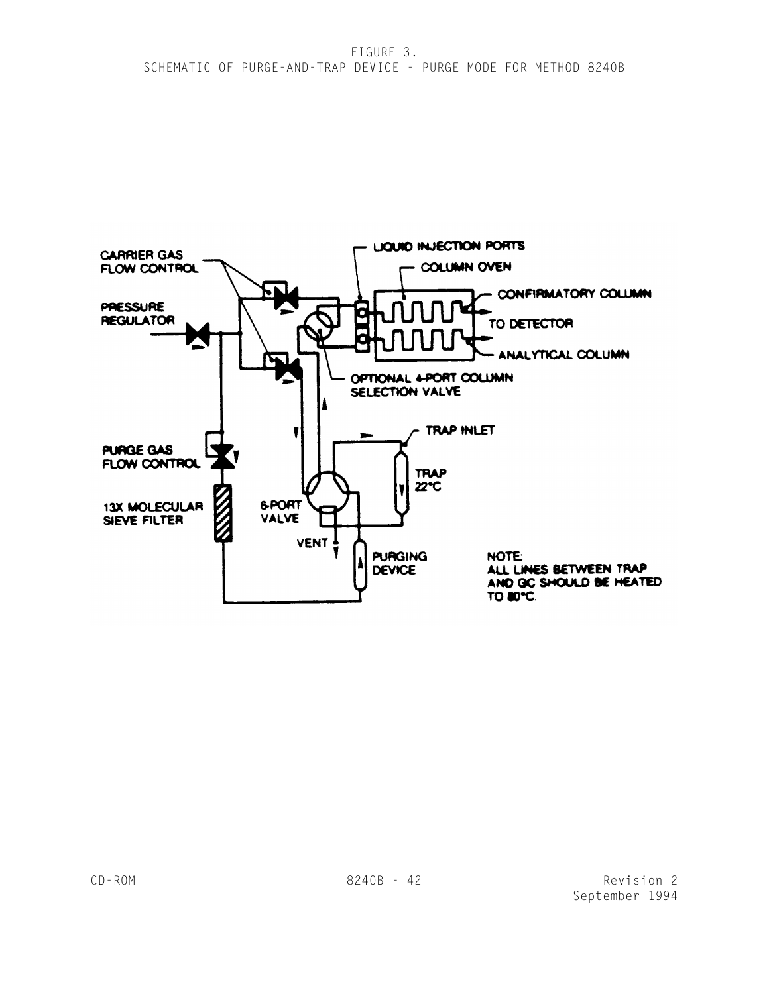FIGURE 3. SCHEMATIC OF PURGE-AND-TRAP DEVICE - PURGE MODE FOR METHOD 8240B

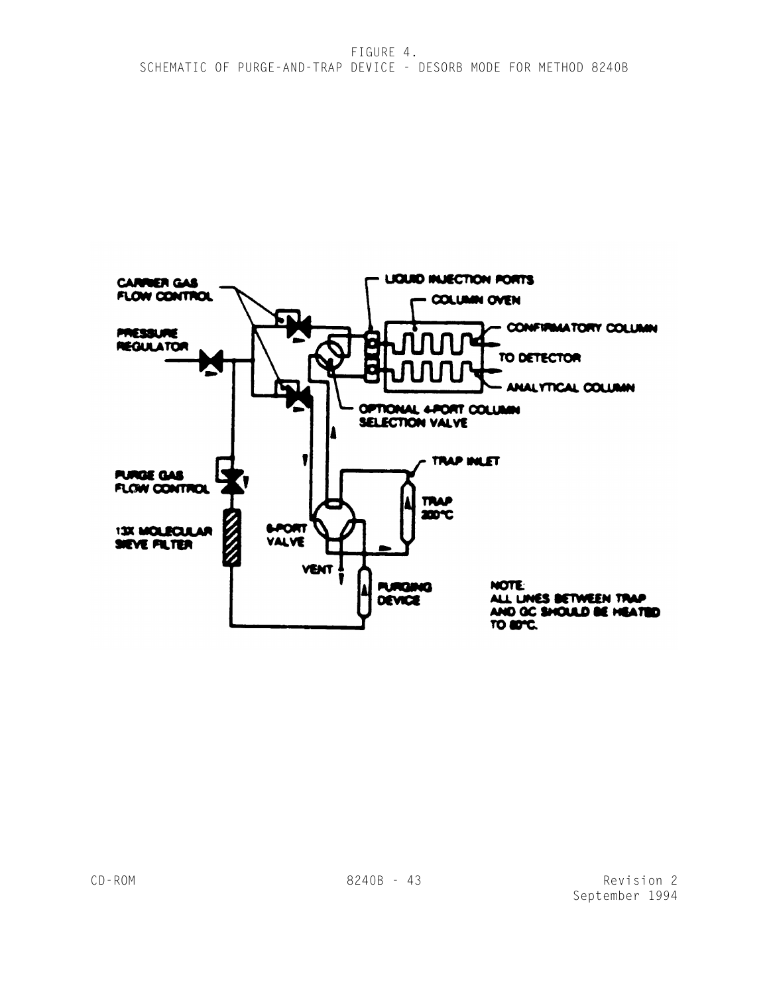FIGURE 4. SCHEMATIC OF PURGE-AND-TRAP DEVICE - DESORB MODE FOR METHOD 8240B

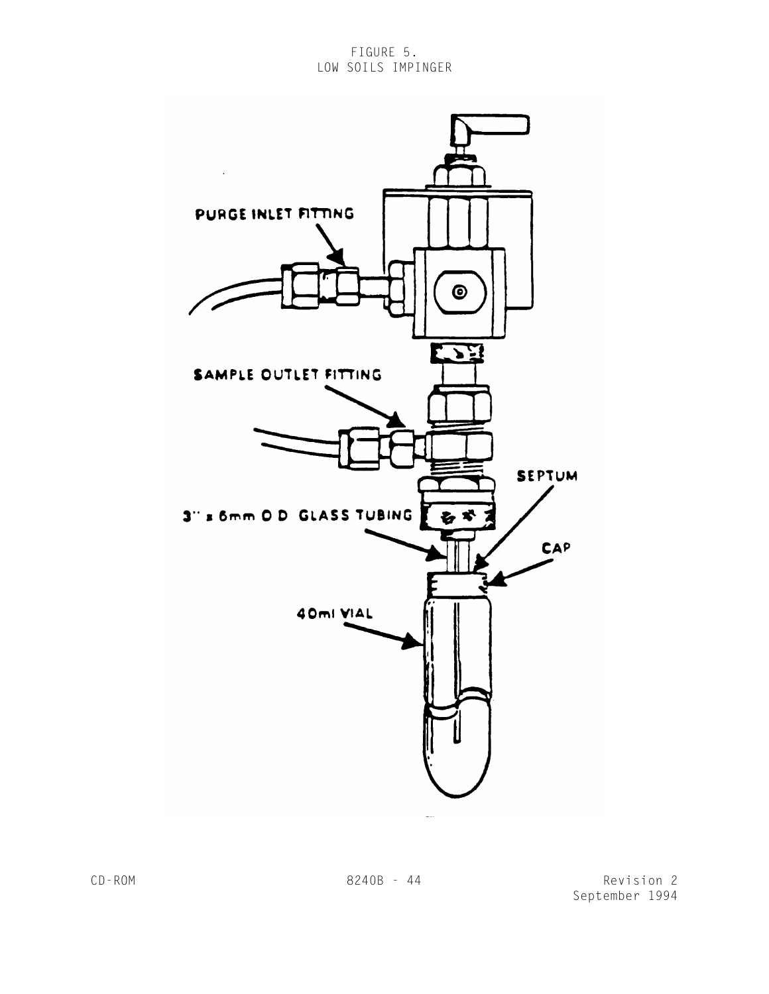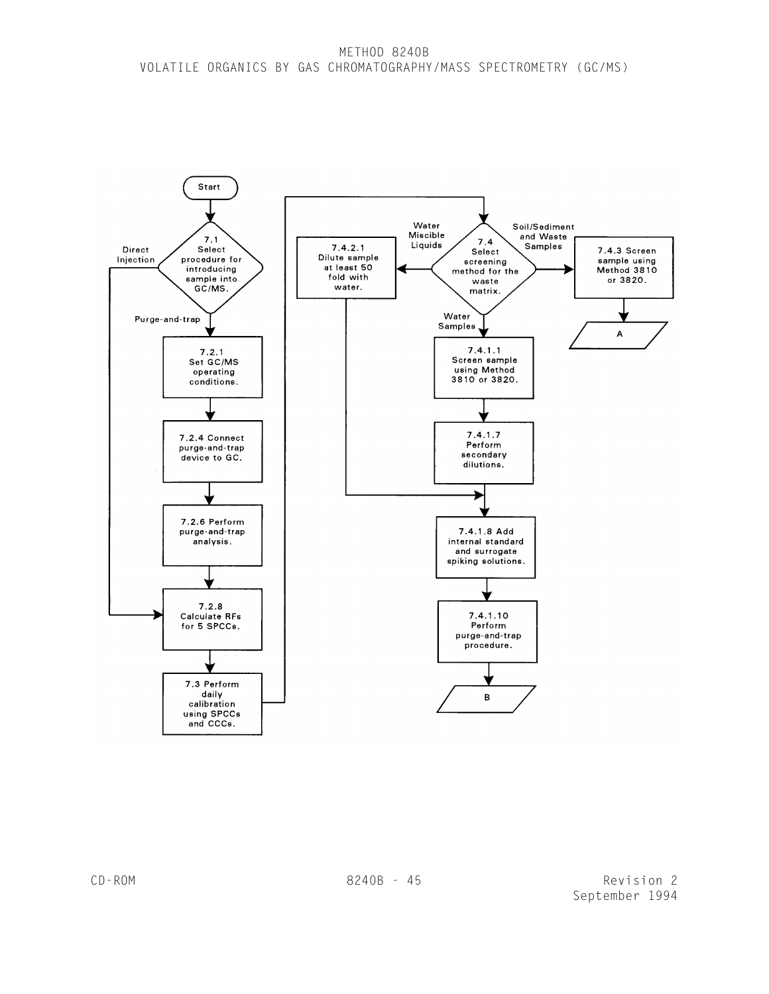